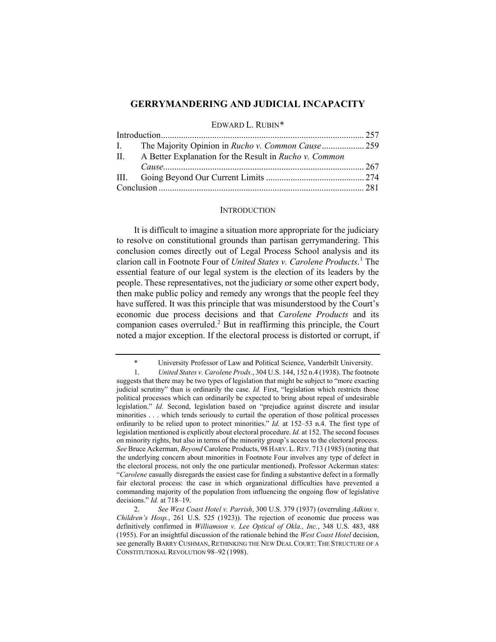# **GERRYMANDERING AND JUDICIAL INCAPACITY**

EDWARD L. RUBIN[\\*](#page-0-0)

|  | II. A Better Explanation for the Result in Rucho v. Common |  |
|--|------------------------------------------------------------|--|
|  |                                                            |  |
|  |                                                            |  |
|  |                                                            |  |

## **INTRODUCTION**

It is difficult to imagine a situation more appropriate for the judiciary to resolve on constitutional grounds than partisan gerrymandering. This conclusion comes directly out of Legal Process School analysis and its clarion call in Footnote Four of *United States v. Carolene Products*. [1](#page-0-1) The essential feature of our legal system is the election of its leaders by the people. These representatives, not the judiciary or some other expert body, then make public policy and remedy any wrongs that the people feel they have suffered. It was this principle that was misunderstood by the Court's economic due process decisions and that *Carolene Products* and its companion cases overruled.[2](#page-0-2) But in reaffirming this principle, the Court noted a major exception. If the electoral process is distorted or corrupt, if

<sup>\*</sup> University Professor of Law and Political Science, Vanderbilt University.

<span id="page-0-1"></span><span id="page-0-0"></span><sup>1.</sup> *United States v. Carolene Prods.*, 304 U.S. 144, 152 n.4 (1938). The footnote suggests that there may be two types of legislation that might be subject to "more exacting judicial scrutiny" than is ordinarily the case. *Id.* First, "legislation which restricts those political processes which can ordinarily be expected to bring about repeal of undesirable legislation." *Id.* Second, legislation based on "prejudice against discrete and insular minorities . . . which tends seriously to curtail the operation of those political processes ordinarily to be relied upon to protect minorities." *Id.* at 152–53 n.4. The first type of legislation mentioned is explicitly about electoral procedure. *Id.* at 152. The second focuses on minority rights, but also in terms of the minority group's access to the electoral process. *See* Bruce Ackerman, *Beyond* Carolene Products, 98 HARV. L.REV. 713 (1985) (noting that the underlying concern about minorities in Footnote Four involves any type of defect in the electoral process, not only the one particular mentioned). Professor Ackerman states: "*Carolene* casually disregards the easiest case for finding a substantive defect in a formally fair electoral process: the case in which organizational difficulties have prevented a commanding majority of the population from influencing the ongoing flow of legislative decisions." *Id.* at 718–19.

<span id="page-0-2"></span><sup>2.</sup> *See West Coast Hotel v. Parrish*, 300 U.S. 379 (1937) (overruling *Adkins v. Children's Hosp.*, 261 U.S. 525 (1923)). The rejection of economic due process was definitively confirmed in *Williamson v. Lee Optical of Okla., Inc.*, 348 U.S. 483, 488 (1955). For an insightful discussion of the rationale behind the *West Coast Hotel* decision, see generally BARRY CUSHMAN, RETHINKING THE NEW DEAL COURT: THE STRUCTURE OF A CONSTITUTIONAL REVOLUTION 98–92 (1998).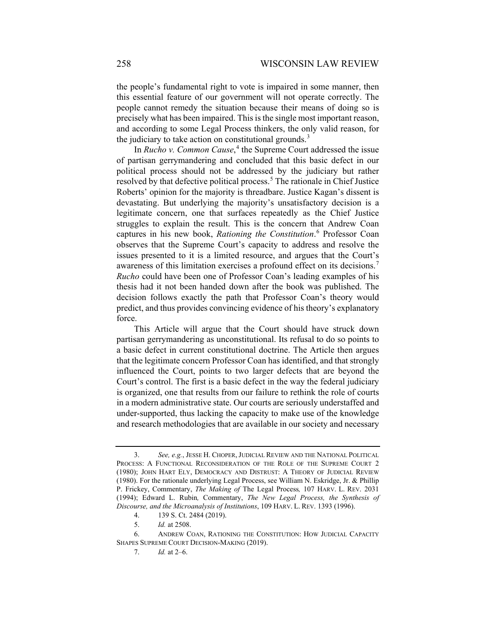the people's fundamental right to vote is impaired in some manner, then this essential feature of our government will not operate correctly. The people cannot remedy the situation because their means of doing so is precisely what has been impaired. This is the single most important reason, and according to some Legal Process thinkers, the only valid reason, for the judiciary to take action on constitutional grounds.<sup>[3](#page-1-0)</sup>

<span id="page-1-6"></span><span id="page-1-5"></span>In *Rucho v. Common Cause*, [4](#page-1-1) the Supreme Court addressed the issue of partisan gerrymandering and concluded that this basic defect in our political process should not be addressed by the judiciary but rather resolved by that defective political process.<sup>[5](#page-1-2)</sup> The rationale in Chief Justice Roberts' opinion for the majority is threadbare. Justice Kagan's dissent is devastating. But underlying the majority's unsatisfactory decision is a legitimate concern, one that surfaces repeatedly as the Chief Justice struggles to explain the result. This is the concern that Andrew Coan captures in his new book, *Rationing the Constitution*. [6](#page-1-3) Professor Coan observes that the Supreme Court's capacity to address and resolve the issues presented to it is a limited resource, and argues that the Court's awareness of this limitation exercises a profound effect on its decisions.<sup>[7](#page-1-4)</sup> *Rucho* could have been one of Professor Coan's leading examples of his thesis had it not been handed down after the book was published. The decision follows exactly the path that Professor Coan's theory would predict, and thus provides convincing evidence of his theory's explanatory force.

This Article will argue that the Court should have struck down partisan gerrymandering as unconstitutional. Its refusal to do so points to a basic defect in current constitutional doctrine. The Article then argues that the legitimate concern Professor Coan has identified, and that strongly influenced the Court, points to two larger defects that are beyond the Court's control. The first is a basic defect in the way the federal judiciary is organized, one that results from our failure to rethink the role of courts in a modern administrative state. Our courts are seriously understaffed and under-supported, thus lacking the capacity to make use of the knowledge and research methodologies that are available in our society and necessary

<span id="page-1-0"></span><sup>3.</sup> *See, e.g.*, JESSE H. CHOPER, JUDICIAL REVIEW AND THE NATIONAL POLITICAL PROCESS: A FUNCTIONAL RECONSIDERATION OF THE ROLE OF THE SUPREME COURT 2 (1980); JOHN HART ELY, DEMOCRACY AND DISTRUST: A THEORY OF JUDICIAL REVIEW (1980). For the rationale underlying Legal Process, see William N. Eskridge, Jr. & Phillip P. Frickey, Commentary, *The Making of* The Legal Process*,* 107 HARV. L. REV. 2031 (1994); Edward L. Rubin*,* Commentary, *The New Legal Process, the Synthesis of Discourse, and the Microanalysis of Institutions*, 109 HARV. L. REV. 1393 (1996).

<sup>4.</sup> 139 S. Ct. 2484 (2019).

<sup>5.</sup> *Id.* at 2508.

<span id="page-1-4"></span><span id="page-1-3"></span><span id="page-1-2"></span><span id="page-1-1"></span><sup>6.</sup> ANDREW COAN, RATIONING THE CONSTITUTION: HOW JUDICIAL CAPACITY SHAPES SUPREME COURT DECISION-MAKING (2019).

<sup>7.</sup> *Id.* at 2–6.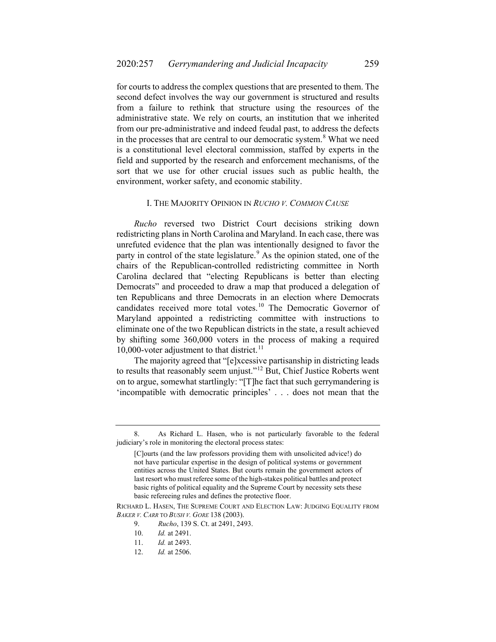for courts to address the complex questions that are presented to them. The second defect involves the way our government is structured and results from a failure to rethink that structure using the resources of the administrative state. We rely on courts, an institution that we inherited from our pre-administrative and indeed feudal past, to address the defects in the processes that are central to our democratic system.<sup>[8](#page-2-0)</sup> What we need is a constitutional level electoral commission, staffed by experts in the field and supported by the research and enforcement mechanisms, of the sort that we use for other crucial issues such as public health, the environment, worker safety, and economic stability.

### <span id="page-2-5"></span>I. THE MAJORITY OPINION IN *RUCHO V. COMMON CAUSE*

*Rucho* reversed two District Court decisions striking down redistricting plans in North Carolina and Maryland. In each case, there was unrefuted evidence that the plan was intentionally designed to favor the party in control of the state legislature.<sup>[9](#page-2-1)</sup> As the opinion stated, one of the chairs of the Republican-controlled redistricting committee in North Carolina declared that "electing Republicans is better than electing Democrats" and proceeded to draw a map that produced a delegation of ten Republicans and three Democrats in an election where Democrats candidates received more total votes.<sup>[10](#page-2-2)</sup> The Democratic Governor of Maryland appointed a redistricting committee with instructions to eliminate one of the two Republican districts in the state, a result achieved by shifting some 360,000 voters in the process of making a required 10,000-voter adjustment to that district.<sup>[11](#page-2-3)</sup>

The majority agreed that "[e]xcessive partisanship in districting leads to results that reasonably seem unjust."<sup>[12](#page-2-4)</sup> But, Chief Justice Roberts went on to argue, somewhat startlingly: "[T]he fact that such gerrymandering is 'incompatible with democratic principles' . . . does not mean that the

<span id="page-2-0"></span><sup>8.</sup> As Richard L. Hasen, who is not particularly favorable to the federal judiciary's role in monitoring the electoral process states:

<sup>[</sup>C]ourts (and the law professors providing them with unsolicited advice!) do not have particular expertise in the design of political systems or government entities across the United States. But courts remain the government actors of last resort who must referee some of the high-stakes political battles and protect basic rights of political equality and the Supreme Court by necessity sets these basic refereeing rules and defines the protective floor.

<span id="page-2-4"></span><span id="page-2-3"></span><span id="page-2-2"></span><span id="page-2-1"></span>RICHARD L. HASEN, THE SUPREME COURT AND ELECTION LAW: JUDGING EQUALITY FROM *BAKER V. CARR* TO *BUSH V. GORE* 138 (2003).

<sup>9.</sup> *Rucho*, 139 S. Ct. at 2491, 2493.

<sup>10.</sup> *Id.* at 2491.

<sup>11.</sup> *Id.* at 2493.

<sup>12.</sup> *Id.* at 2506.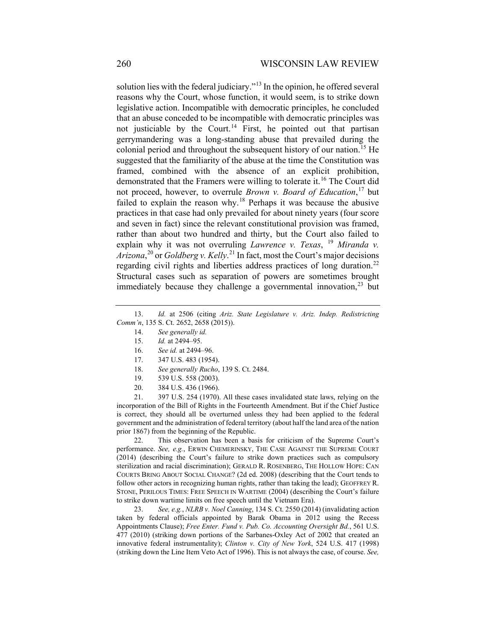solution lies with the federal judiciary."[13](#page-3-0) In the opinion, he offered several reasons why the Court, whose function, it would seem, is to strike down legislative action. Incompatible with democratic principles, he concluded that an abuse conceded to be incompatible with democratic principles was not justiciable by the Court.<sup>[14](#page-3-1)</sup> First, he pointed out that partisan gerrymandering was a long-standing abuse that prevailed during the colonial period and throughout the subsequent history of our nation.[15](#page-3-2) He suggested that the familiarity of the abuse at the time the Constitution was framed, combined with the absence of an explicit prohibition, demonstrated that the Framers were willing to tolerate it.<sup>[16](#page-3-3)</sup> The Court did not proceed, however, to overrule *Brown v. Board of Education*, [17](#page-3-4) but failed to explain the reason why.[18](#page-3-5) Perhaps it was because the abusive practices in that case had only prevailed for about ninety years (four score and seven in fact) since the relevant constitutional provision was framed, rather than about two hundred and thirty, but the Court also failed to explain why it was not overruling *Lawrence v. Texas*, <sup>[19](#page-3-6)</sup> *Miranda v. Arizona*, [20](#page-3-7) or *Goldberg v. Kelly*. [21](#page-3-8) In fact, most the Court's major decisions regarding civil rights and liberties address practices of long duration.<sup>[22](#page-3-9)</sup> Structural cases such as separation of powers are sometimes brought immediately because they challenge a governmental innovation,  $23$  but

- 14. *See generally id.*
- 15. *Id.* at 2494–95.
- 16. *See id.* at 2494–96.
- 17. 347 U.S. 483 (1954).
- 18. *See generally Rucho*, 139 S. Ct. 2484.
- 19. 539 U.S. 558 (2003).
- 20. 384 U.S. 436 (1966).

<span id="page-3-8"></span><span id="page-3-7"></span><span id="page-3-6"></span><span id="page-3-5"></span><span id="page-3-4"></span>21. 397 U.S. 254 (1970). All these cases invalidated state laws, relying on the incorporation of the Bill of Rights in the Fourteenth Amendment. But if the Chief Justice is correct, they should all be overturned unless they had been applied to the federal government and the administration of federal territory (about half the land area of the nation prior 1867) from the beginning of the Republic.

<span id="page-3-9"></span>22. This observation has been a basis for criticism of the Supreme Court's performance. *See, e.g.*, ERWIN CHEMERINSKY, THE CASE AGAINST THE SUPREME COURT (2014) (describing the Court's failure to strike down practices such as compulsory sterilization and racial discrimination); GERALD R. ROSENBERG, THE HOLLOW HOPE: CAN COURTS BRING ABOUT SOCIAL CHANGE? (2d ed. 2008) (describing that the Court tends to follow other actors in recognizing human rights, rather than taking the lead); GEOFFREY R. STONE, PERILOUS TIMES: FREE SPEECH IN WARTIME (2004) (describing the Court's failure to strike down wartime limits on free speech until the Vietnam Era).

<span id="page-3-10"></span>23. *See, e.g.*, *NLRB v. Noel Canning*, 134 S. Ct. 2550 (2014) (invalidating action taken by federal officials appointed by Barak Obama in 2012 using the Recess Appointments Clause); *Free Enter. Fund v. Pub. Co. Accounting Oversight Bd.*, 561 U.S. 477 (2010) (striking down portions of the Sarbanes-Oxley Act of 2002 that created an innovative federal instrumentality); *Clinton v. City of New York*, 524 U.S. 417 (1998) (striking down the Line Item Veto Act of 1996). This is not always the case, of course. *See,* 

<span id="page-3-3"></span><span id="page-3-2"></span><span id="page-3-1"></span><span id="page-3-0"></span><sup>13.</sup> *Id.* at 2506 (citing *Ariz. State Legislature v. Ariz. Indep. Redistricting Comm'n*, 135 S. Ct. 2652, 2658 (2015)).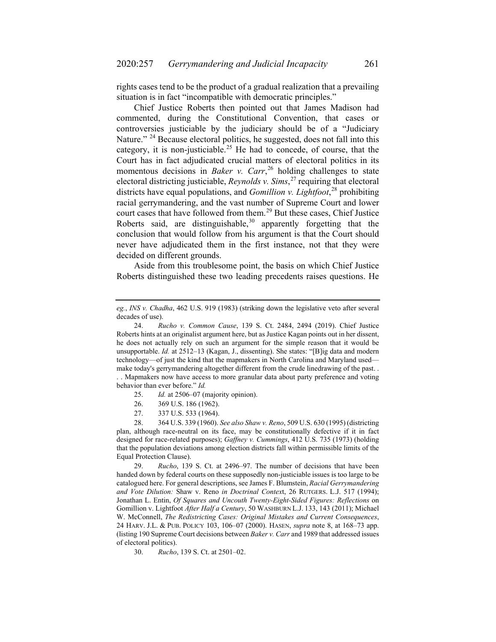rights cases tend to be the product of a gradual realization that a prevailing situation is in fact "incompatible with democratic principles."

Chief Justice Roberts then pointed out that James Madison had commented, during the Constitutional Convention, that cases or controversies justiciable by the judiciary should be of a "Judiciary Nature." <sup>[24](#page-4-0)</sup> Because electoral politics, he suggested, does not fall into this category, it is non-justiciable.<sup>[25](#page-4-1)</sup> He had to concede, of course, that the Court has in fact adjudicated crucial matters of electoral politics in its momentous decisions in *Baker v. Carr*, [26](#page-4-2) holding challenges to state electoral districting justiciable, *Reynolds v. Sims*, [27](#page-4-3) requiring that electoral districts have equal populations, and *Gomillion v. Lightfoot*, [28](#page-4-4) prohibiting racial gerrymandering, and the vast number of Supreme Court and lower court cases that have followed from them.<sup>[29](#page-4-5)</sup> But these cases, Chief Justice Roberts said, are distinguishable,  $30$  apparently forgetting that the conclusion that would follow from his argument is that the Court should never have adjudicated them in the first instance, not that they were decided on different grounds.

Aside from this troublesome point, the basis on which Chief Justice Roberts distinguished these two leading precedents raises questions. He

27. 337 U.S. 533 (1964).

<span id="page-4-4"></span><span id="page-4-3"></span><span id="page-4-2"></span><span id="page-4-1"></span>28. 364 U.S. 339 (1960). *See also Shaw v. Reno*, 509 U.S. 630 (1995) (districting plan, although race-neutral on its face, may be constitutionally defective if it in fact designed for race-related purposes); *Gaffney v. Cummings*, 412 U.S. 735 (1973) (holding that the population deviations among election districts fall within permissible limits of the Equal Protection Clause).

<span id="page-4-5"></span>29. *Rucho*, 139 S. Ct. at 2496–97. The number of decisions that have been handed down by federal courts on these supposedly non-justiciable issues is too large to be catalogued here. For general descriptions, see James F. Blumstein, *Racial Gerrymandering and Vote Dilution:* Shaw v. Reno *in Doctrinal Contex*t, 26 RUTGERS. L.J. 517 (1994); Jonathan L. Entin, *Of Squares and Uncouth Twenty-Eight-Sided Figures: Reflections* on Gomillion v. Lightfoot *After Half a Century*, 50 WASHBURN L.J. 133, 143 (2011); Michael W. McConnell, *The Redistricting Cases: Original Mistakes and Current Consequences*, 24 HARV. J.L. & PUB. POLICY 103, 106–07 (2000). HASEN, *supra* note [8,](#page-2-5) at 168–73 app. (listing 190 Supreme Court decisions between *Baker v. Carr* and 1989 that addressed issues of electoral politics).

<span id="page-4-6"></span>30. *Rucho*, 139 S. Ct. at 2501–02.

*eg.*, *INS v. Chadha*, 462 U.S. 919 (1983) (striking down the legislative veto after several decades of use).

<span id="page-4-0"></span><sup>24.</sup> *Rucho v. Common Cause*, 139 S. Ct. 2484, 2494 (2019). Chief Justice Roberts hints at an originalist argument here, but as Justice Kagan points out in her dissent, he does not actually rely on such an argument for the simple reason that it would be unsupportable. *Id.* at 2512–13 (Kagan, J., dissenting). She states: "[B]ig data and modern technology—of just the kind that the mapmakers in North Carolina and Maryland used make today's gerrymandering altogether different from the crude linedrawing of the past. . . . Mapmakers now have access to more granular data about party preference and voting behavior than ever before." *Id.*

<sup>25.</sup> *Id.* at 2506–07 (majority opinion).

<sup>26.</sup> 369 U.S. 186 (1962).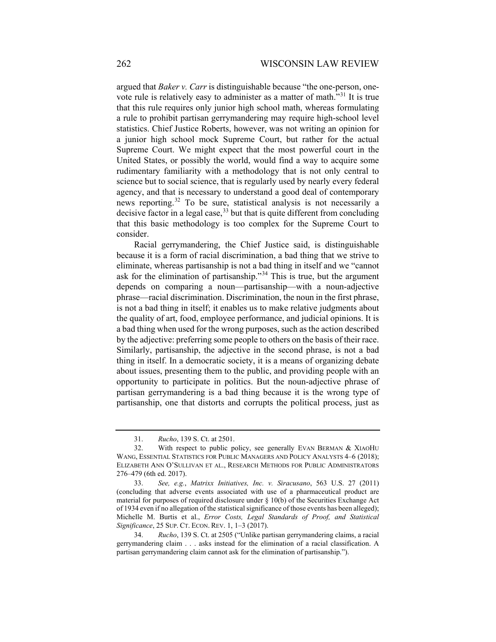argued that *Baker v. Carr* is distinguishable because "the one-person, onevote rule is relatively easy to administer as a matter of math."[31](#page-5-0) It is true that this rule requires only junior high school math, whereas formulating a rule to prohibit partisan gerrymandering may require high-school level statistics. Chief Justice Roberts, however, was not writing an opinion for a junior high school mock Supreme Court, but rather for the actual Supreme Court. We might expect that the most powerful court in the United States, or possibly the world, would find a way to acquire some rudimentary familiarity with a methodology that is not only central to science but to social science, that is regularly used by nearly every federal agency, and that is necessary to understand a good deal of contemporary news reporting.<sup>[32](#page-5-1)</sup> To be sure, statistical analysis is not necessarily a decisive factor in a legal case,  $33$  but that is quite different from concluding that this basic methodology is too complex for the Supreme Court to consider.

Racial gerrymandering, the Chief Justice said, is distinguishable because it is a form of racial discrimination, a bad thing that we strive to eliminate, whereas partisanship is not a bad thing in itself and we "cannot ask for the elimination of partisanship."<sup>[34](#page-5-3)</sup> This is true, but the argument depends on comparing a noun—partisanship—with a noun-adjective phrase—racial discrimination. Discrimination, the noun in the first phrase, is not a bad thing in itself; it enables us to make relative judgments about the quality of art, food, employee performance, and judicial opinions. It is a bad thing when used for the wrong purposes, such as the action described by the adjective: preferring some people to others on the basis of their race. Similarly, partisanship, the adjective in the second phrase, is not a bad thing in itself. In a democratic society, it is a means of organizing debate about issues, presenting them to the public, and providing people with an opportunity to participate in politics. But the noun-adjective phrase of partisan gerrymandering is a bad thing because it is the wrong type of partisanship, one that distorts and corrupts the political process, just as

<sup>31.</sup> *Rucho*, 139 S. Ct. at 2501.

<span id="page-5-1"></span><span id="page-5-0"></span><sup>32.</sup> With respect to public policy, see generally EVAN BERMAN & XIAOHU WANG, ESSENTIAL STATISTICS FOR PUBLIC MANAGERS AND POLICY ANALYSTS 4–6 (2018); ELIZABETH ANN O'SULLIVAN ET AL., RESEARCH METHODS FOR PUBLIC ADMINISTRATORS 276–479 (6th ed. 2017).

<span id="page-5-2"></span><sup>33.</sup> *See, e.g.*, *Matrixx Initiatives, Inc. v. Siracusano*, 563 U.S. 27 (2011) (concluding that adverse events associated with use of a pharmaceutical product are material for purposes of required disclosure under  $\S$  10(b) of the Securities Exchange Act of 1934 even if no allegation of the statistical significance of those events has been alleged); Michelle M. Burtis et al., *Error Costs, Legal Standards of Proof, and Statistical Significance*, 25 SUP. CT. ECON. REV. 1, 1–3 (2017).

<span id="page-5-3"></span><sup>34.</sup> *Rucho*, 139 S. Ct. at 2505 ("Unlike partisan gerrymandering claims, a racial gerrymandering claim . . . asks instead for the elimination of a racial classification. A partisan gerrymandering claim cannot ask for the elimination of partisanship.").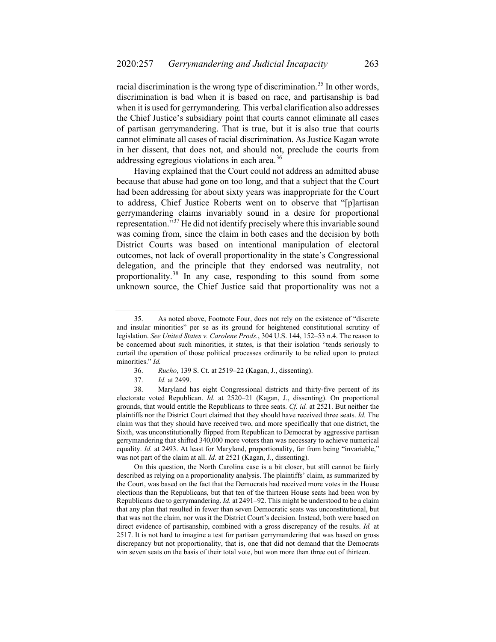racial discrimination is the wrong type of discrimination.<sup>[35](#page-6-0)</sup> In other words, discrimination is bad when it is based on race, and partisanship is bad when it is used for gerrymandering. This verbal clarification also addresses the Chief Justice's subsidiary point that courts cannot eliminate all cases of partisan gerrymandering. That is true, but it is also true that courts cannot eliminate all cases of racial discrimination. As Justice Kagan wrote in her dissent, that does not, and should not, preclude the courts from addressing egregious violations in each area.<sup>[36](#page-6-1)</sup>

Having explained that the Court could not address an admitted abuse because that abuse had gone on too long, and that a subject that the Court had been addressing for about sixty years was inappropriate for the Court to address, Chief Justice Roberts went on to observe that "[p]artisan gerrymandering claims invariably sound in a desire for proportional representation."[37](#page-6-2) He did not identify precisely where this invariable sound was coming from, since the claim in both cases and the decision by both District Courts was based on intentional manipulation of electoral outcomes, not lack of overall proportionality in the state's Congressional delegation, and the principle that they endorsed was neutrality, not proportionality.[38](#page-6-3) In any case, responding to this sound from some unknown source, the Chief Justice said that proportionality was not a

- 36. *Rucho*, 139 S. Ct. at 2519–22 (Kagan, J., dissenting).
- 37. *Id.* at 2499.

<span id="page-6-3"></span><span id="page-6-2"></span><span id="page-6-1"></span>38. Maryland has eight Congressional districts and thirty-five percent of its electorate voted Republican. *Id.* at 2520–21 (Kagan, J., dissenting). On proportional grounds, that would entitle the Republicans to three seats. *Cf. id.* at 2521. But neither the plaintiffs nor the District Court claimed that they should have received three seats. *Id.* The claim was that they should have received two, and more specifically that one district, the Sixth, was unconstitutionally flipped from Republican to Democrat by aggressive partisan gerrymandering that shifted 340,000 more voters than was necessary to achieve numerical equality. *Id.* at 2493. At least for Maryland, proportionality, far from being "invariable," was not part of the claim at all. *Id.* at 2521 (Kagan, J., dissenting).

On this question, the North Carolina case is a bit closer, but still cannot be fairly described as relying on a proportionality analysis. The plaintiffs' claim, as summarized by the Court, was based on the fact that the Democrats had received more votes in the House elections than the Republicans, but that ten of the thirteen House seats had been won by Republicans due to gerrymandering. *Id.* at 2491–92. This might be understood to be a claim that any plan that resulted in fewer than seven Democratic seats was unconstitutional, but that was not the claim, nor was it the District Court's decision. Instead, both were based on direct evidence of partisanship, combined with a gross discrepancy of the results. *Id.* at 2517. It is not hard to imagine a test for partisan gerrymandering that was based on gross discrepancy but not proportionality, that is, one that did not demand that the Democrats win seven seats on the basis of their total vote, but won more than three out of thirteen.

<span id="page-6-0"></span><sup>35.</sup> As noted above, Footnote Four, does not rely on the existence of "discrete and insular minorities" per se as its ground for heightened constitutional scrutiny of legislation. *See United States v. Carolene Prods.*, 304 U.S. 144, 152–53 n.4. The reason to be concerned about such minorities, it states, is that their isolation "tends seriously to curtail the operation of those political processes ordinarily to be relied upon to protect minorities." *Id.*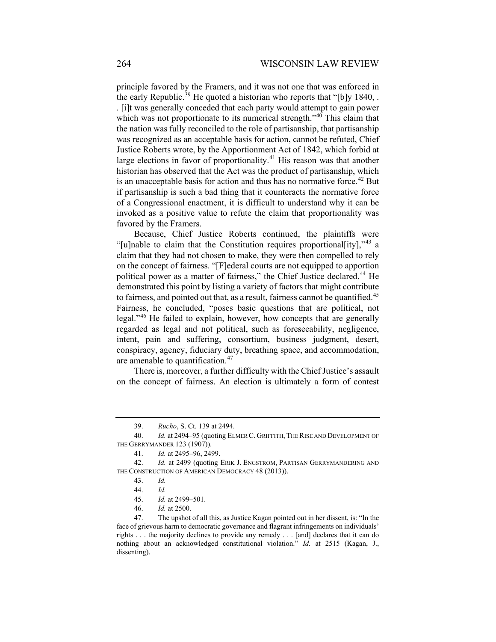principle favored by the Framers, and it was not one that was enforced in the early Republic.<sup>[39](#page-7-0)</sup> He quoted a historian who reports that "[b]y 1840, . . [i]t was generally conceded that each party would attempt to gain power which was not proportionate to its numerical strength."<sup>[40](#page-7-1)</sup> This claim that the nation was fully reconciled to the role of partisanship, that partisanship was recognized as an acceptable basis for action, cannot be refuted, Chief Justice Roberts wrote, by the Apportionment Act of 1842, which forbid at large elections in favor of proportionality.<sup>[41](#page-7-2)</sup> His reason was that another historian has observed that the Act was the product of partisanship, which is an unacceptable basis for action and thus has no normative force.<sup>[42](#page-7-3)</sup> But if partisanship is such a bad thing that it counteracts the normative force of a Congressional enactment, it is difficult to understand why it can be invoked as a positive value to refute the claim that proportionality was favored by the Framers.

Because, Chief Justice Roberts continued, the plaintiffs were "[u]nable to claim that the Constitution requires proportional [ity],"<sup>[43](#page-7-4)</sup> a claim that they had not chosen to make, they were then compelled to rely on the concept of fairness. "[F]ederal courts are not equipped to apportion political power as a matter of fairness," the Chief Justice declared.<sup>[44](#page-7-5)</sup> He demonstrated this point by listing a variety of factors that might contribute to fairness, and pointed out that, as a result, fairness cannot be quantified.<sup>[45](#page-7-6)</sup> Fairness, he concluded, "poses basic questions that are political, not legal."[46](#page-7-7) He failed to explain, however, how concepts that are generally regarded as legal and not political, such as foreseeability, negligence, intent, pain and suffering, consortium, business judgment, desert, conspiracy, agency, fiduciary duty, breathing space, and accommodation, are amenable to quantification.<sup>[47](#page-7-8)</sup>

There is, moreover, a further difficulty with the Chief Justice's assault on the concept of fairness. An election is ultimately a form of contest

46. *Id.* at 2500.

<sup>39.</sup> *Rucho*, S. Ct. 139 at 2494.

<span id="page-7-1"></span><span id="page-7-0"></span><sup>40.</sup> *Id.* at 2494–95 (quoting ELMER C. GRIFFITH, THE RISE AND DEVELOPMENT OF THE GERRYMANDER 123 (1907)).

<sup>41.</sup> *Id.* at 2495–96, 2499.

<span id="page-7-5"></span><span id="page-7-4"></span><span id="page-7-3"></span><span id="page-7-2"></span><sup>42.</sup> *Id.* at 2499 (quoting ERIK J. ENGSTROM, PARTISAN GERRYMANDERING AND THE CONSTRUCTION OF AMERICAN DEMOCRACY 48 (2013)).

<sup>43.</sup> *Id.*

<sup>44.</sup> *Id.*

<sup>45.</sup> *Id.* at 2499–501.

<span id="page-7-8"></span><span id="page-7-7"></span><span id="page-7-6"></span><sup>47.</sup> The upshot of all this, as Justice Kagan pointed out in her dissent, is: "In the face of grievous harm to democratic governance and flagrant infringements on individuals' rights . . . the majority declines to provide any remedy . . . [and] declares that it can do nothing about an acknowledged constitutional violation." *Id.* at 2515 (Kagan, J., dissenting).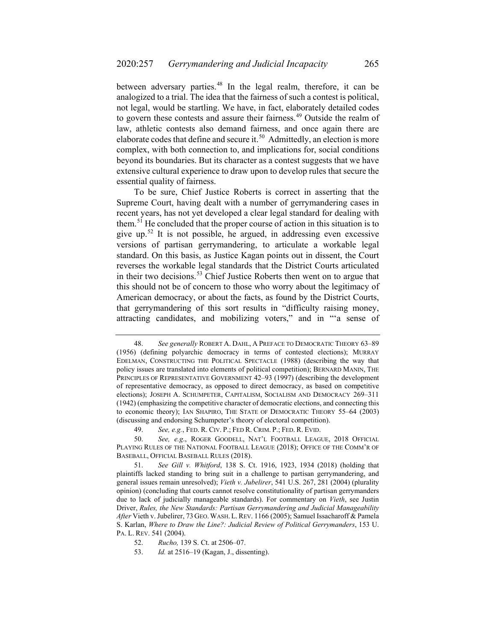between adversary parties.<sup>[48](#page-8-0)</sup> In the legal realm, therefore, it can be analogized to a trial. The idea that the fairness of such a contest is political, not legal, would be startling. We have, in fact, elaborately detailed codes to govern these contests and assure their fairness.<sup>[49](#page-8-1)</sup> Outside the realm of law, athletic contests also demand fairness, and once again there are elaborate codes that define and secure it.<sup>[50](#page-8-2)</sup> Admittedly, an election is more complex, with both connection to, and implications for, social conditions beyond its boundaries. But its character as a contest suggests that we have extensive cultural experience to draw upon to develop rules that secure the essential quality of fairness.

To be sure, Chief Justice Roberts is correct in asserting that the Supreme Court, having dealt with a number of gerrymandering cases in recent years, has not yet developed a clear legal standard for dealing with them.[51](#page-8-3) He concluded that the proper course of action in this situation is to give up.<sup>[52](#page-8-4)</sup> It is not possible, he argued, in addressing even excessive versions of partisan gerrymandering, to articulate a workable legal standard. On this basis, as Justice Kagan points out in dissent, the Court reverses the workable legal standards that the District Courts articulated in their two decisions.<sup>[53](#page-8-5)</sup> Chief Justice Roberts then went on to argue that this should not be of concern to those who worry about the legitimacy of American democracy, or about the facts, as found by the District Courts, that gerrymandering of this sort results in "difficulty raising money, attracting candidates, and mobilizing voters," and in "'a sense of

<span id="page-8-0"></span><sup>48.</sup> *See generally* ROBERT A. DAHL, A PREFACE TO DEMOCRATIC THEORY 63–89 (1956) (defining polyarchic democracy in terms of contested elections); MURRAY EDELMAN, CONSTRUCTING THE POLITICAL SPECTACLE (1988) (describing the way that policy issues are translated into elements of political competition); BERNARD MANIN, THE PRINCIPLES OF REPRESENTATIVE GOVERNMENT 42–93 (1997) (describing the development of representative democracy, as opposed to direct democracy, as based on competitive elections); JOSEPH A. SCHUMPETER, CAPITALISM, SOCIALISM AND DEMOCRACY 269–311 (1942) (emphasizing the competitive character of democratic elections, and connecting this to economic theory); IAN SHAPIRO, THE STATE OF DEMOCRATIC THEORY 55–64 (2003) (discussing and endorsing Schumpeter's theory of electoral competition).

<sup>49.</sup> *See, e.g.*, FED. R. CIV. P.; FED R. CRIM. P.; FED. R. EVID.

<span id="page-8-2"></span><span id="page-8-1"></span><sup>50.</sup> *See, e.g*., ROGER GOODELL, NAT'L FOOTBALL LEAGUE, 2018 OFFICIAL PLAYING RULES OF THE NATIONAL FOOTBALL LEAGUE (2018); OFFICE OF THE COMM'R OF BASEBALL, OFFICIAL BASEBALL RULES (2018).

<span id="page-8-3"></span><sup>51.</sup> *See Gill v. Whitford*, 138 S. Ct. 1916, 1923, 1934 (2018) (holding that plaintiffs lacked standing to bring suit in a challenge to partisan gerrymandering, and general issues remain unresolved); *Vieth v. Jubelirer*, 541 U.S. 267, 281 (2004) (plurality opinion) (concluding that courts cannot resolve constitutionality of partisan gerrymanders due to lack of judicially manageable standards). For commentary on *Vieth*, see Justin Driver, *Rules, the New Standards: Partisan Gerrymandering and Judicial Manageability After* Vieth v. Jubelirer, 73 GEO.WASH. L.REV. 1166 (2005); Samuel Issacharoff & Pamela S. Karlan, *Where to Draw the Line?: Judicial Review of Political Gerrymanders*, 153 U. PA. L. REV. 541 (2004).

<span id="page-8-4"></span><sup>52.</sup> *Rucho,* 139 S. Ct. at 2506–07.

<span id="page-8-5"></span><sup>53.</sup> *Id.* at 2516–19 (Kagan, J., dissenting).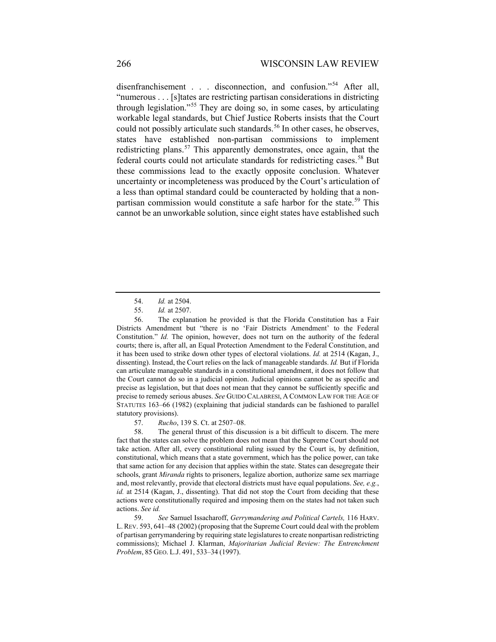<span id="page-9-6"></span>disenfranchisement . . . disconnection, and confusion."<sup>[54](#page-9-0)</sup> After all, "numerous . . . [s]tates are restricting partisan considerations in districting through legislation."[55](#page-9-1) They are doing so, in some cases, by articulating workable legal standards, but Chief Justice Roberts insists that the Court could not possibly articulate such standards.<sup>[56](#page-9-2)</sup> In other cases, he observes, states have established non-partisan commissions to implement redistricting plans.<sup>[57](#page-9-3)</sup> This apparently demonstrates, once again, that the federal courts could not articulate standards for redistricting cases.<sup>[58](#page-9-4)</sup> But these commissions lead to the exactly opposite conclusion. Whatever uncertainty or incompleteness was produced by the Court's articulation of a less than optimal standard could be counteracted by holding that a non-partisan commission would constitute a safe harbor for the state.<sup>[59](#page-9-5)</sup> This cannot be an unworkable solution, since eight states have established such

57. *Rucho*, 139 S. Ct. at 2507–08.

<span id="page-9-4"></span><span id="page-9-3"></span>58. The general thrust of this discussion is a bit difficult to discern. The mere fact that the states can solve the problem does not mean that the Supreme Court should not take action. After all, every constitutional ruling issued by the Court is, by definition, constitutional, which means that a state government, which has the police power, can take that same action for any decision that applies within the state. States can desegregate their schools, grant *Miranda* rights to prisoners, legalize abortion, authorize same sex marriage and, most relevantly, provide that electoral districts must have equal populations. *See, e.g.*, *id.* at 2514 (Kagan, J., dissenting). That did not stop the Court from deciding that these actions were constitutionally required and imposing them on the states had not taken such actions. *See id.*

<span id="page-9-5"></span>59. *See* Samuel Issacharoff, *Gerrymandering and Political Cartels,* 116 HARV. L.REV. 593, 641–48 (2002) (proposing that the Supreme Court could deal with the problem of partisan gerrymandering by requiring state legislatures to create nonpartisan redistricting commissions); Michael J. Klarman, *Majoritarian Judicial Review: The Entrenchment Problem*, 85 GEO. L.J. 491, 533–34 (1997).

<span id="page-9-7"></span><sup>54.</sup> *Id.* at 2504.

<sup>55.</sup> *Id.* at 2507.

<span id="page-9-2"></span><span id="page-9-1"></span><span id="page-9-0"></span><sup>56.</sup> The explanation he provided is that the Florida Constitution has a Fair Districts Amendment but "there is no 'Fair Districts Amendment' to the Federal Constitution." *Id.* The opinion, however, does not turn on the authority of the federal courts; there is, after all, an Equal Protection Amendment to the Federal Constitution, and it has been used to strike down other types of electoral violations. *Id.* at 2514 (Kagan, J., dissenting). Instead, the Court relies on the lack of manageable standards. *Id.* But if Florida can articulate manageable standards in a constitutional amendment, it does not follow that the Court cannot do so in a judicial opinion. Judicial opinions cannot be as specific and precise as legislation, but that does not mean that they cannot be sufficiently specific and precise to remedy serious abuses. *See* GUIDO CALABRESI, A COMMON LAW FOR THE AGE OF STATUTES 163–66 (1982) (explaining that judicial standards can be fashioned to parallel statutory provisions).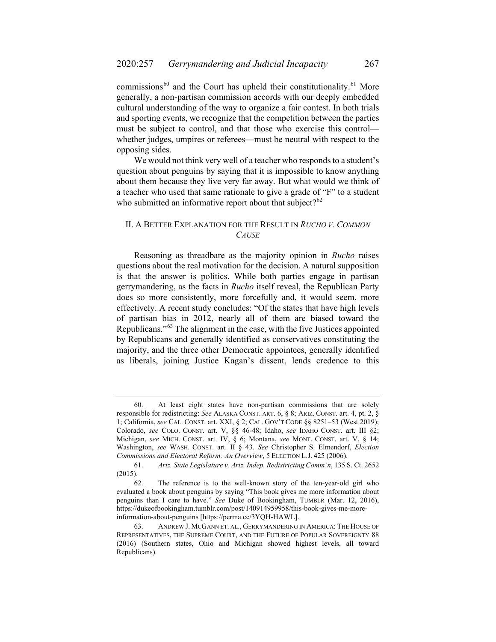<span id="page-10-4"></span>commissions $^{60}$  $^{60}$  $^{60}$  and the Court has upheld their constitutionality.<sup>[61](#page-10-1)</sup> More generally, a non-partisan commission accords with our deeply embedded cultural understanding of the way to organize a fair contest. In both trials and sporting events, we recognize that the competition between the parties must be subject to control, and that those who exercise this control whether judges, umpires or referees—must be neutral with respect to the opposing sides.

We would not think very well of a teacher who responds to a student's question about penguins by saying that it is impossible to know anything about them because they live very far away. But what would we think of a teacher who used that same rationale to give a grade of "F" to a student who submitted an informative report about that subject? $62$ 

# II. A BETTER EXPLANATION FOR THE RESULT IN *RUCHO V. COMMON CAUSE*

<span id="page-10-5"></span>Reasoning as threadbare as the majority opinion in *Rucho* raises questions about the real motivation for the decision. A natural supposition is that the answer is politics. While both parties engage in partisan gerrymandering, as the facts in *Rucho* itself reveal, the Republican Party does so more consistently, more forcefully and, it would seem, more effectively. A recent study concludes: "Of the states that have high levels of partisan bias in 2012, nearly all of them are biased toward the Republicans."[63](#page-10-3) The alignment in the case, with the five Justices appointed by Republicans and generally identified as conservatives constituting the majority, and the three other Democratic appointees, generally identified as liberals, joining Justice Kagan's dissent, lends credence to this

<span id="page-10-0"></span><sup>60.</sup> At least eight states have non-partisan commissions that are solely responsible for redistricting: *See* ALASKA CONST. ART. 6, § 8; ARIZ. CONST. art. 4, pt. 2, § 1; California, *see* CAL. CONST. art. XXI, § 2; CAL. GOV'T CODE §§ 8251–53 (West 2019); Colorado, *see* COLO. CONST. art. V, §§ 46-48; Idaho, *see* IDAHO CONST. art. III §2; Michigan, *see* MICH. CONST. art. IV, § 6; Montana, *see* MONT. CONST. art. V, § 14; Washington, *see* WASH. CONST. art. II § 43. *See* Christopher S. Elmendorf, *Election Commissions and Electoral Reform: An Overview*, 5 ELECTION L.J. 425 (2006).

<span id="page-10-1"></span><sup>61.</sup> *Ariz. State Legislature v. Ariz. Indep. Redistricting Comm'n*, 135 S. Ct. 2652 (2015).

<span id="page-10-2"></span><sup>62.</sup> The reference is to the well-known story of the ten-year-old girl who evaluated a book about penguins by saying "This book gives me more information about penguins than I care to have." *See* Duke of Bookingham, TUMBLR (Mar. 12, 2016), https://dukeofbookingham.tumblr.com/post/140914959958/this-book-gives-me-moreinformation-about-penguins [https://perma.cc/3YQH-HAWL].

<span id="page-10-3"></span><sup>63.</sup> ANDREW J. MCGANN ET. AL., GERRYMANDERING IN AMERICA: THE HOUSE OF REPRESENTATIVES, THE SUPREME COURT, AND THE FUTURE OF POPULAR SOVEREIGNTY 88 (2016) (Southern states, Ohio and Michigan showed highest levels, all toward Republicans).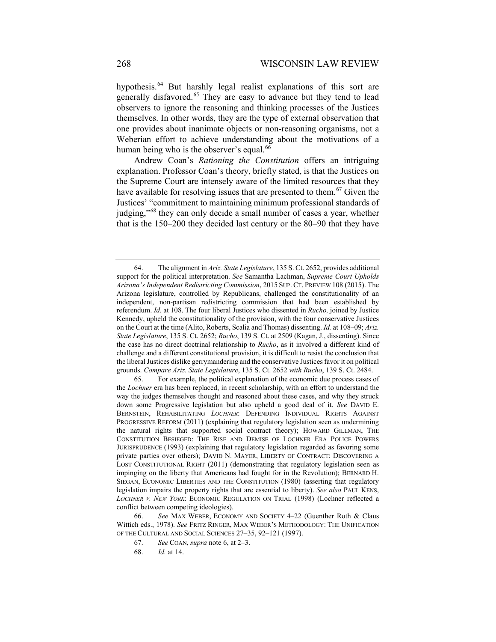hypothesis.<sup>[64](#page-11-0)</sup> But harshly legal realist explanations of this sort are generally disfavored.[65](#page-11-1) They are easy to advance but they tend to lead observers to ignore the reasoning and thinking processes of the Justices themselves. In other words, they are the type of external observation that one provides about inanimate objects or non-reasoning organisms, not a Weberian effort to achieve understanding about the motivations of a human being who is the observer's equal.<sup>[66](#page-11-2)</sup>

<span id="page-11-5"></span>Andrew Coan's *Rationing the Constitution* offers an intriguing explanation. Professor Coan's theory, briefly stated, is that the Justices on the Supreme Court are intensely aware of the limited resources that they have available for resolving issues that are presented to them.<sup>[67](#page-11-3)</sup> Given the Justices' "commitment to maintaining minimum professional standards of judging,"[68](#page-11-4) they can only decide a small number of cases a year, whether that is the 150–200 they decided last century or the 80–90 that they have

<span id="page-11-0"></span><sup>64.</sup> The alignment in *Ariz. State Legislature*, 135 S. Ct. 2652, provides additional support for the political interpretation. *See* Samantha Lachman, *Supreme Court Upholds Arizona's Independent Redistricting Commission*, 2015 SUP. CT. PREVIEW 108 (2015). The Arizona legislature, controlled by Republicans, challenged the constitutionality of an independent, non-partisan redistricting commission that had been established by referendum. *Id.* at 108. The four liberal Justices who dissented in *Rucho,* joined by Justice Kennedy, upheld the constitutionality of the provision, with the four conservative Justices on the Court at the time (Alito, Roberts, Scalia and Thomas) dissenting. *Id.* at 108–09; *Ariz. State Legislature*, 135 S. Ct. 2652; *Rucho*, 139 S. Ct. at 2509 (Kagan, J., dissenting). Since the case has no direct doctrinal relationship to *Rucho*, as it involved a different kind of challenge and a different constitutional provision, it is difficult to resist the conclusion that the liberal Justices dislike gerrymandering and the conservative Justices favor it on political grounds. *Compare Ariz. State Legislature*, 135 S. Ct. 2652 *with Rucho*, 139 S. Ct. 2484.

<span id="page-11-1"></span><sup>65.</sup> For example, the political explanation of the economic due process cases of the *Lochner* era has been replaced, in recent scholarship, with an effort to understand the way the judges themselves thought and reasoned about these cases, and why they struck down some Progressive legislation but also upheld a good deal of it. *See* DAVID E. BERNSTEIN, REHABILITATING *LOCHNER*: DEFENDING INDIVIDUAL RIGHTS AGAINST PROGRESSIVE REFORM (2011) (explaining that regulatory legislation seen as undermining the natural rights that supported social contract theory); HOWARD GILLMAN, THE CONSTITUTION BESIEGED: THE RISE AND DEMISE OF LOCHNER ERA POLICE POWERS JURISPRUDENCE (1993) (explaining that regulatory legislation regarded as favoring some private parties over others); DAVID N. MAYER, LIBERTY OF CONTRACT: DISCOVERING A LOST CONSTITUTIONAL RIGHT (2011) (demonstrating that regulatory legislation seen as impinging on the liberty that Americans had fought for in the Revolution); BERNARD H. SIEGAN, ECONOMIC LIBERTIES AND THE CONSTITUTION (1980) (asserting that regulatory legislation impairs the property rights that are essential to liberty). *See also* PAUL KENS, *LOCHNER V. NEW YORK*: ECONOMIC REGULATION ON TRIAL (1998) (Lochner reflected a conflict between competing ideologies).

<span id="page-11-4"></span><span id="page-11-3"></span><span id="page-11-2"></span><sup>66.</sup> *See* MAX WEBER, ECONOMY AND SOCIETY 4–22 (Guenther Roth & Claus Wittich eds., 1978). *See* FRITZ RINGER, MAX WEBER'S METHODOLOGY: THE UNIFICATION OF THE CULTURAL AND SOCIAL SCIENCES 27–35, 92–121 (1997).

<sup>67.</sup> *See* COAN, *supra* not[e 6,](#page-1-5) at 2–3.

<sup>68.</sup> *Id.* at 14.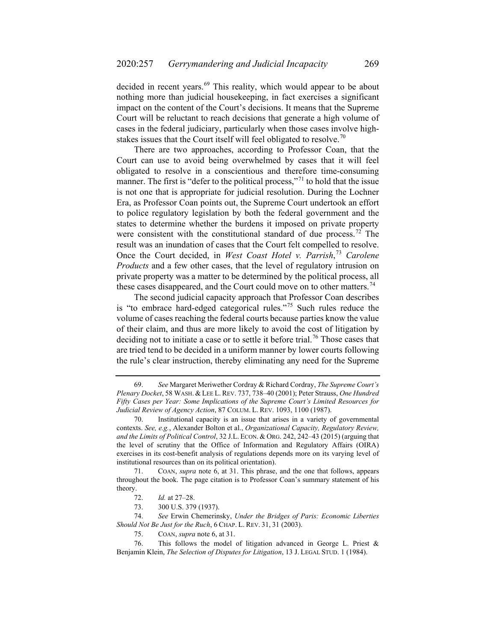decided in recent years.<sup>[69](#page-12-0)</sup> This reality, which would appear to be about nothing more than judicial housekeeping, in fact exercises a significant impact on the content of the Court's decisions. It means that the Supreme Court will be reluctant to reach decisions that generate a high volume of cases in the federal judiciary, particularly when those cases involve high-stakes issues that the Court itself will feel obligated to resolve.<sup>[70](#page-12-1)</sup>

There are two approaches, according to Professor Coan, that the Court can use to avoid being overwhelmed by cases that it will feel obligated to resolve in a conscientious and therefore time-consuming manner. The first is "defer to the political process,"<sup>[71](#page-12-2)</sup> to hold that the issue is not one that is appropriate for judicial resolution. During the Lochner Era, as Professor Coan points out, the Supreme Court undertook an effort to police regulatory legislation by both the federal government and the states to determine whether the burdens it imposed on private property were consistent with the constitutional standard of due process.<sup>[72](#page-12-3)</sup> The result was an inundation of cases that the Court felt compelled to resolve. Once the Court decided, in *West Coast Hotel v. Parrish*, [73](#page-12-4) *Carolene Products* and a few other cases, that the level of regulatory intrusion on private property was a matter to be determined by the political process, all these cases disappeared, and the Court could move on to other matters.<sup>[74](#page-12-5)</sup>

The second judicial capacity approach that Professor Coan describes is "to embrace hard-edged categorical rules."[75](#page-12-6) Such rules reduce the volume of cases reaching the federal courts because parties know the value of their claim, and thus are more likely to avoid the cost of litigation by deciding not to initiate a case or to settle it before trial.<sup>[76](#page-12-7)</sup> Those cases that are tried tend to be decided in a uniform manner by lower courts following the rule's clear instruction, thereby eliminating any need for the Supreme

<span id="page-12-2"></span>71. COAN, *supra* note [6,](#page-1-5) at 31. This phrase, and the one that follows, appears throughout the book. The page citation is to Professor Coan's summary statement of his theory.

<span id="page-12-5"></span><span id="page-12-4"></span><span id="page-12-3"></span>74. *See* Erwin Chemerinsky, *Under the Bridges of Paris: Economic Liberties Should Not Be Just for the Ruch*, 6 CHAP. L. REV. 31, 31 (2003).

75. COAN, *supra* not[e 6,](#page-1-5) at 31.

<span id="page-12-7"></span><span id="page-12-6"></span>76. This follows the model of litigation advanced in George L. Priest & Benjamin Klein, *The Selection of Disputes for Litigation*, 13 J. LEGAL STUD. 1 (1984).

<span id="page-12-0"></span><sup>69.</sup> *See* Margaret Meriwether Cordray & Richard Cordray, *The Supreme Court's Plenary Docket*, 58 WASH. & LEE L.REV. 737, 738–40 (2001); Peter Strauss, *One Hundred Fifty Cases per Year: Some Implications of the Supreme Court's Limited Resources for Judicial Review of Agency Action*, 87 COLUM. L. REV. 1093, 1100 (1987).

<span id="page-12-1"></span><sup>70.</sup> Institutional capacity is an issue that arises in a variety of governmental contexts. *See, e.g.*, Alexander Bolton et al., *Organizational Capacity, Regulatory Review, and the Limits of Political Control*, 32 J.L. ECON. & ORG. 242, 242–43 (2015) (arguing that the level of scrutiny that the Office of Information and Regulatory Affairs (OIRA) exercises in its cost-benefit analysis of regulations depends more on its varying level of institutional resources than on its political orientation).

<sup>72.</sup> *Id.* at 27–28.

<sup>73.</sup> 300 U.S. 379 (1937).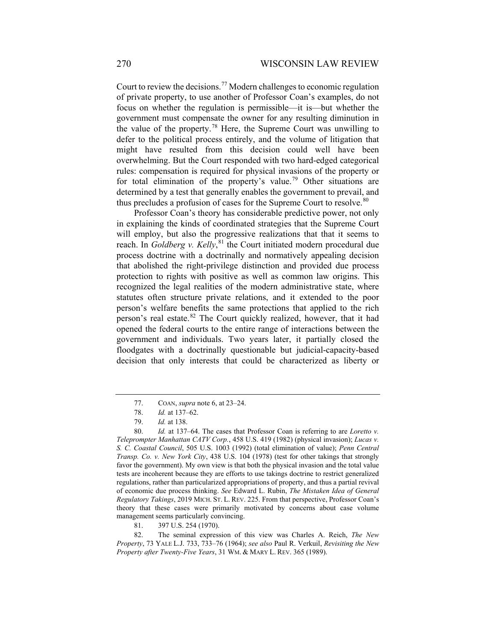Court to review the decisions.<sup>[77](#page-13-0)</sup> Modern challenges to economic regulation of private property, to use another of Professor Coan's examples, do not focus on whether the regulation is permissible—it is—but whether the government must compensate the owner for any resulting diminution in the value of the property.<sup>[78](#page-13-1)</sup> Here, the Supreme Court was unwilling to defer to the political process entirely, and the volume of litigation that might have resulted from this decision could well have been overwhelming. But the Court responded with two hard-edged categorical rules: compensation is required for physical invasions of the property or for total elimination of the property's value.<sup>[79](#page-13-2)</sup> Other situations are determined by a test that generally enables the government to prevail, and thus precludes a profusion of cases for the Supreme Court to resolve.<sup>[80](#page-13-3)</sup>

Professor Coan's theory has considerable predictive power, not only in explaining the kinds of coordinated strategies that the Supreme Court will employ, but also the progressive realizations that that it seems to reach. In *Goldberg v. Kelly*, [81](#page-13-4) the Court initiated modern procedural due process doctrine with a doctrinally and normatively appealing decision that abolished the right-privilege distinction and provided due process protection to rights with positive as well as common law origins. This recognized the legal realities of the modern administrative state, where statutes often structure private relations, and it extended to the poor person's welfare benefits the same protections that applied to the rich person's real estate.<sup>[82](#page-13-5)</sup> The Court quickly realized, however, that it had opened the federal courts to the entire range of interactions between the government and individuals. Two years later, it partially closed the floodgates with a doctrinally questionable but judicial-capacity-based decision that only interests that could be characterized as liberty or

<sup>77.</sup> COAN, *supra* not[e 6,](#page-1-5) at 23–24.

<sup>78.</sup> *Id.* at 137–62.

<sup>79.</sup> *Id.* at 138.

<span id="page-13-3"></span><span id="page-13-2"></span><span id="page-13-1"></span><span id="page-13-0"></span><sup>80.</sup> *Id.* at 137–64. The cases that Professor Coan is referring to are *Loretto v. Teleprompter Manhattan CATV Corp.*, 458 U.S. 419 (1982) (physical invasion); *Lucas v. S. C. Coastal Council*, 505 U.S. 1003 (1992) (total elimination of value); *Penn Central Transp. Co. v. New York City*, 438 U.S. 104 (1978) (test for other takings that strongly favor the government). My own view is that both the physical invasion and the total value tests are incoherent because they are efforts to use takings doctrine to restrict generalized regulations, rather than particularized appropriations of property, and thus a partial revival of economic due process thinking. *See* Edward L. Rubin, *The Mistaken Idea of General Regulatory Takings*, 2019 MICH. ST. L. REV. 225. From that perspective, Professor Coan's theory that these cases were primarily motivated by concerns about case volume management seems particularly convincing.

<sup>81.</sup> 397 U.S. 254 (1970).

<span id="page-13-5"></span><span id="page-13-4"></span><sup>82.</sup> The seminal expression of this view was Charles A. Reich, *The New Property*, 73 YALE L.J. 733, 733–76 (1964); *see also* Paul R. Verkuil, *Revisiting the New Property after Twenty-Five Years*, 31 WM. & MARY L. REV. 365 (1989).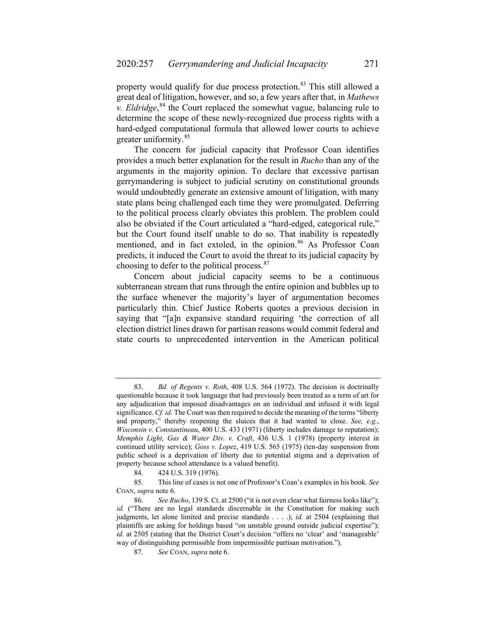property would qualify for due process protection.<sup>[83](#page-14-0)</sup> This still allowed a great deal of litigation, however, and so, a few years after that, in *Mathews v. Eldridge*, [84](#page-14-1) the Court replaced the somewhat vague, balancing rule to determine the scope of these newly-recognized due process rights with a hard-edged computational formula that allowed lower courts to achieve greater uniformity.<sup>[85](#page-14-2)</sup>

The concern for judicial capacity that Professor Coan identifies provides a much better explanation for the result in *Rucho* than any of the arguments in the majority opinion. To declare that excessive partisan gerrymandering is subject to judicial scrutiny on constitutional grounds would undoubtedly generate an extensive amount of litigation, with many state plans being challenged each time they were promulgated. Deferring to the political process clearly obviates this problem. The problem could also be obviated if the Court articulated a "hard-edged, categorical rule," but the Court found itself unable to do so. That inability is repeatedly mentioned, and in fact extoled, in the opinion.<sup>[86](#page-14-3)</sup> As Professor Coan predicts, it induced the Court to avoid the threat to its judicial capacity by choosing to defer to the political process.<sup>[87](#page-14-4)</sup>

Concern about judicial capacity seems to be a continuous subterranean stream that runs through the entire opinion and bubbles up to the surface whenever the majority's layer of argumentation becomes particularly thin. Chief Justice Roberts quotes a previous decision in saying that "[a]n expansive standard requiring 'the correction of all election district lines drawn for partisan reasons would commit federal and state courts to unprecedented intervention in the American political

<span id="page-14-0"></span><sup>83.</sup> *Bd. of Regents v. Roth*, 408 U.S. 564 (1972). The decision is doctrinally questionable because it took language that had previously been treated as a term of art for any adjudication that imposed disadvantages on an individual and infused it with legal significance. *Cf. id.* The Court was then required to decide the meaning of the terms "liberty and property," thereby reopening the sluices that it had wanted to close. *See, e.g.*, *Wisconsin v. Constantineau*, 400 U.S. 433 (1971) (liberty includes damage to reputation); *Memphis Light, Gas & Water Div. v. Craft*, 436 U.S. 1 (1978) (property interest in continued utility service); *Goss v. Lopez*, 419 U.S. 565 (1975) (ten-day suspension from public school is a deprivation of liberty due to potential stigma and a deprivation of property because school attendance is a valued benefit).

<sup>84.</sup> 424 U.S. 319 (1976).

<span id="page-14-2"></span><span id="page-14-1"></span><sup>85.</sup> This line of cases is not one of Professor's Coan's examples in his book. *See*  COAN, *supra* note [6.](#page-1-5) 

<span id="page-14-4"></span><span id="page-14-3"></span><sup>86.</sup> *See Rucho*, 139 S. Ct. at 2500 ("it is not even clear what fairness looks like"); *id.* ("There are no legal standards discernable in the Constitution for making such judgments, let alone limited and precise standards . . . .); *id.* at 2504 (explaining that plaintiffs are asking for holdings based "on unstable ground outside judicial expertise"); *id.* at 2505 (stating that the District Court's decision "offers no 'clear' and 'manageable' way of distinguishing permissible from impermissible partisan motivation.").

<sup>87.</sup> *See* COAN, *supra* note [6.](#page-1-5)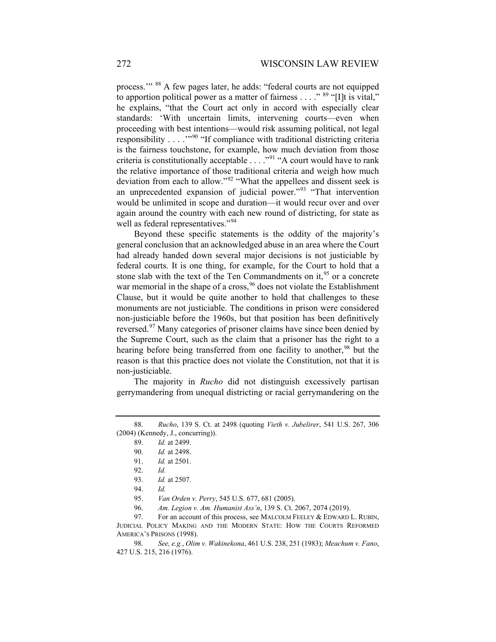process."<sup>[88](#page-15-0)</sup> A few pages later, he adds: "federal courts are not equipped to apportion political power as a matter of fairness  $\dots$ ." <sup>[89](#page-15-1)</sup> "[I]t is vital," he explains, "that the Court act only in accord with especially clear standards: 'With uncertain limits, intervening courts—even when proceeding with best intentions—would risk assuming political, not legal responsibility  $\dots$  ...<sup>7[90](#page-15-2)</sup> "If compliance with traditional districting criteria is the fairness touchstone, for example, how much deviation from those criteria is constitutionally acceptable . . . ."[91](#page-15-3) "A court would have to rank the relative importance of those traditional criteria and weigh how much deviation from each to allow."[92](#page-15-4) "What the appellees and dissent seek is an unprecedented expansion of judicial power."<sup>[93](#page-15-5)</sup> "That intervention would be unlimited in scope and duration—it would recur over and over again around the country with each new round of districting, for state as well as federal representatives."<sup>[94](#page-15-6)</sup>

Beyond these specific statements is the oddity of the majority's general conclusion that an acknowledged abuse in an area where the Court had already handed down several major decisions is not justiciable by federal courts. It is one thing, for example, for the Court to hold that a stone slab with the text of the Ten Commandments on it,  $95$  or a concrete war memorial in the shape of a cross, <sup>[96](#page-15-8)</sup> does not violate the Establishment Clause, but it would be quite another to hold that challenges to these monuments are not justiciable. The conditions in prison were considered non-justiciable before the 1960s, but that position has been definitively reversed.[97](#page-15-9) Many categories of prisoner claims have since been denied by the Supreme Court, such as the claim that a prisoner has the right to a hearing before being transferred from one facility to another,<sup>[98](#page-15-10)</sup> but the reason is that this practice does not violate the Constitution, not that it is non-justiciable.

The majority in *Rucho* did not distinguish excessively partisan gerrymandering from unequal districting or racial gerrymandering on the

<span id="page-15-4"></span><span id="page-15-3"></span><span id="page-15-2"></span><span id="page-15-1"></span><span id="page-15-0"></span><sup>88.</sup> *Rucho*, 139 S. Ct. at 2498 (quoting *Vieth v. Jubelirer*, 541 U.S. 267, 306 (2004) (Kennedy, J., concurring)).

<sup>89.</sup> *Id.* at 2499.

<sup>90.</sup> *Id.* at 2498.

<sup>91.</sup> *Id.* at 2501.

<sup>92.</sup> *Id.*

<sup>93.</sup> *Id.* at 2507.

<sup>94.</sup> *Id.*

<sup>95.</sup> *Van Orden v. Perry*, 545 U.S. 677, 681 (2005).

<sup>96.</sup> *Am. Legion v. Am. Humanist Ass'n*, 139 S. Ct. 2067, 2074 (2019).

<span id="page-15-9"></span><span id="page-15-8"></span><span id="page-15-7"></span><span id="page-15-6"></span><span id="page-15-5"></span><sup>97.</sup> For an account of this process, see MALCOLM FEELEY & EDWARD L. RUBIN, JUDICIAL POLICY MAKING AND THE MODERN STATE: HOW THE COURTS REFORMED AMERICA'S PRISONS (1998).

<span id="page-15-10"></span><sup>98.</sup> *See, e.g.*, *Olim v. Wakinekona*, 461 U.S. 238, 251 (1983); *Meachum v. Fano*, 427 U.S. 215, 216 (1976).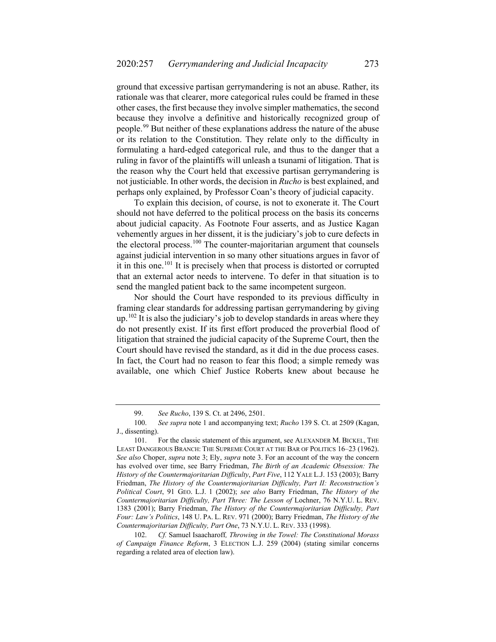ground that excessive partisan gerrymandering is not an abuse. Rather, its rationale was that clearer, more categorical rules could be framed in these other cases, the first because they involve simpler mathematics, the second because they involve a definitive and historically recognized group of people.<sup>[99](#page-16-0)</sup> But neither of these explanations address the nature of the abuse or its relation to the Constitution. They relate only to the difficulty in formulating a hard-edged categorical rule, and thus to the danger that a ruling in favor of the plaintiffs will unleash a tsunami of litigation. That is the reason why the Court held that excessive partisan gerrymandering is not justiciable. In other words, the decision in *Rucho* is best explained, and perhaps only explained, by Professor Coan's theory of judicial capacity.

To explain this decision, of course, is not to exonerate it. The Court should not have deferred to the political process on the basis its concerns about judicial capacity. As Footnote Four asserts, and as Justice Kagan vehemently argues in her dissent, it is the judiciary's job to cure defects in the electoral process.<sup>[100](#page-16-1)</sup> The counter-majoritarian argument that counsels against judicial intervention in so many other situations argues in favor of it in this one.<sup>[101](#page-16-2)</sup> It is precisely when that process is distorted or corrupted that an external actor needs to intervene. To defer in that situation is to send the mangled patient back to the same incompetent surgeon.

Nor should the Court have responded to its previous difficulty in framing clear standards for addressing partisan gerrymandering by giving  $up.<sup>102</sup>$  $up.<sup>102</sup>$  $up.<sup>102</sup>$  It is also the judiciary's job to develop standards in areas where they do not presently exist. If its first effort produced the proverbial flood of litigation that strained the judicial capacity of the Supreme Court, then the Court should have revised the standard, as it did in the due process cases. In fact, the Court had no reason to fear this flood; a simple remedy was available, one which Chief Justice Roberts knew about because he

<sup>99.</sup> *See Rucho*, 139 S. Ct. at 2496, 2501.

<span id="page-16-1"></span><span id="page-16-0"></span><sup>100.</sup> *See supra* note 1 and accompanying text; *Rucho* 139 S. Ct. at 2509 (Kagan, J., dissenting).

<span id="page-16-2"></span><sup>101.</sup> For the classic statement of this argument, see ALEXANDER M. BICKEL, THE LEAST DANGEROUS BRANCH: THE SUPREME COURT AT THE BAR OF POLITICS 16–23 (1962). *See also* Choper, *supra* note [3;](#page-1-6) Ely, *supra* note [3.](#page-1-6) For an account of the way the concern has evolved over time, see Barry Friedman, *The Birth of an Academic Obsession: The History of the Countermajoritarian Difficulty*, *Part Five*, 112 YALE L.J. 153 (2003); Barry Friedman, *The History of the Countermajoritarian Difficulty, Part II: Reconstruction's Political Court*, 91 GEO. L.J. 1 (2002); *see also* Barry Friedman, *The History of the Countermajoritarian Difficulty, Part Three: The Lesson of* Lochner, 76 N.Y.U. L. REV. 1383 (2001); Barry Friedman, *The History of the Countermajoritarian Difficulty, Part Four: Law's Politics*, 148 U. PA. L. REV. 971 (2000); Barry Friedman, *The History of the Countermajoritarian Difficulty, Part One*, 73 N.Y.U. L. REV. 333 (1998).

<span id="page-16-3"></span><sup>102.</sup> *Cf.* Samuel Isaacharoff*, Throwing in the Towel: The Constitutional Morass of Campaign Finance Reform*, 3 ELECTION L.J. 259 (2004) (stating similar concerns regarding a related area of election law).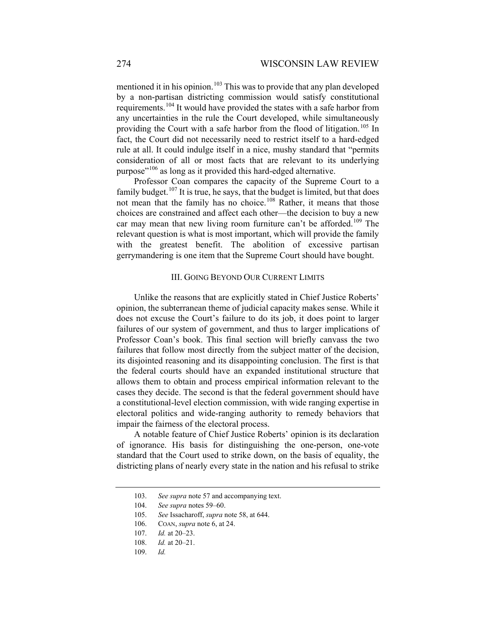mentioned it in his opinion.<sup>[103](#page-17-0)</sup> This was to provide that any plan developed by a non-partisan districting commission would satisfy constitutional requirements.[104](#page-17-1) It would have provided the states with a safe harbor from any uncertainties in the rule the Court developed, while simultaneously providing the Court with a safe harbor from the flood of litigation.<sup>[105](#page-17-2)</sup> In fact, the Court did not necessarily need to restrict itself to a hard-edged rule at all. It could indulge itself in a nice, mushy standard that "permits consideration of all or most facts that are relevant to its underlying purpose"<sup>[106](#page-17-3)</sup> as long as it provided this hard-edged alternative.

Professor Coan compares the capacity of the Supreme Court to a family budget.<sup>[107](#page-17-4)</sup> It is true, he says, that the budget is limited, but that does not mean that the family has no choice.<sup>[108](#page-17-5)</sup> Rather, it means that those choices are constrained and affect each other—the decision to buy a new car may mean that new living room furniture can't be afforded.<sup>[109](#page-17-6)</sup> The relevant question is what is most important, which will provide the family with the greatest benefit. The abolition of excessive partisan gerrymandering is one item that the Supreme Court should have bought.

## III. GOING BEYOND OUR CURRENT LIMITS

Unlike the reasons that are explicitly stated in Chief Justice Roberts' opinion, the subterranean theme of judicial capacity makes sense. While it does not excuse the Court's failure to do its job, it does point to larger failures of our system of government, and thus to larger implications of Professor Coan's book. This final section will briefly canvass the two failures that follow most directly from the subject matter of the decision, its disjointed reasoning and its disappointing conclusion. The first is that the federal courts should have an expanded institutional structure that allows them to obtain and process empirical information relevant to the cases they decide. The second is that the federal government should have a constitutional-level election commission, with wide ranging expertise in electoral politics and wide-ranging authority to remedy behaviors that impair the fairness of the electoral process.

<span id="page-17-0"></span>A notable feature of Chief Justice Roberts' opinion is its declaration of ignorance. His basis for distinguishing the one-person, one-vote standard that the Court used to strike down, on the basis of equality, the districting plans of nearly every state in the nation and his refusal to strike

<sup>103.</sup> *See supra* not[e 57](#page-9-6) and accompanying text.

<sup>104.</sup> *See supra* notes [59](#page-9-7)[–60.](#page-10-4)

<span id="page-17-4"></span><span id="page-17-3"></span><span id="page-17-2"></span><span id="page-17-1"></span><sup>105.</sup> *See* Issacharoff, *supra* note 58, at 644.

<sup>106.</sup> COAN, *supra* not[e 6,](#page-1-5) at 24.

<sup>107.</sup> *Id.* at 20–23.

<span id="page-17-6"></span><span id="page-17-5"></span><sup>108.</sup> *Id.* at 20–21.

<sup>109.</sup> *Id.*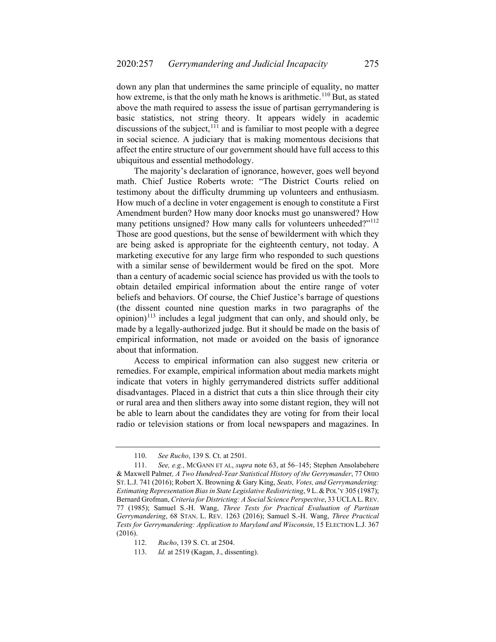<span id="page-18-4"></span>down any plan that undermines the same principle of equality, no matter how extreme, is that the only math he knows is arithmetic.<sup>[110](#page-18-0)</sup> But, as stated above the math required to assess the issue of partisan gerrymandering is basic statistics, not string theory. It appears widely in academic discussions of the subject, $111$  and is familiar to most people with a degree in social science. A judiciary that is making momentous decisions that affect the entire structure of our government should have full access to this ubiquitous and essential methodology.

The majority's declaration of ignorance, however, goes well beyond math. Chief Justice Roberts wrote: "The District Courts relied on testimony about the difficulty drumming up volunteers and enthusiasm. How much of a decline in voter engagement is enough to constitute a First Amendment burden? How many door knocks must go unanswered? How many petitions unsigned? How many calls for volunteers unheeded?"<sup>[112](#page-18-2)</sup> Those are good questions, but the sense of bewilderment with which they are being asked is appropriate for the eighteenth century, not today. A marketing executive for any large firm who responded to such questions with a similar sense of bewilderment would be fired on the spot. More than a century of academic social science has provided us with the tools to obtain detailed empirical information about the entire range of voter beliefs and behaviors. Of course, the Chief Justice's barrage of questions (the dissent counted nine question marks in two paragraphs of the opinion)<sup>[113](#page-18-3)</sup> includes a legal judgment that can only, and should only, be made by a legally-authorized judge. But it should be made on the basis of empirical information, not made or avoided on the basis of ignorance about that information.

Access to empirical information can also suggest new criteria or remedies. For example, empirical information about media markets might indicate that voters in highly gerrymandered districts suffer additional disadvantages. Placed in a district that cuts a thin slice through their city or rural area and then slithers away into some distant region, they will not be able to learn about the candidates they are voting for from their local radio or television stations or from local newspapers and magazines. In

<sup>110.</sup> *See Rucho*, 139 S. Ct. at 2501.

<span id="page-18-1"></span><span id="page-18-0"></span><sup>111.</sup> *See, e.g.*, MCGANN ET AL, *supra* note [63,](#page-10-5) at 56–145; Stephen Ansolabehere & Maxwell Palmer*, A Two Hundred-Year Statistical History of the Gerrymander*, 77 OHIO ST. L.J. 741 (2016); Robert X. Browning & Gary King, *Seats, Votes, and Gerrymandering: Estimating Representation Bias in State Legislative Redistricting*, 9 L.&POL'Y 305 (1987); Bernard Grofman, *Criteria for Districting: A Social Science Perspective*, 33 UCLA L.REV. 77 (1985); Samuel S.-H. Wang, *Three Tests for Practical Evaluation of Partisan Gerrymandering*, 68 STAN. L. REV. 1263 (2016); Samuel S.-H. Wang, *Three Practical Tests for Gerrymandering: Application to Maryland and Wisconsin*, 15 ELECTION L.J. 367 (2016).

<span id="page-18-3"></span><span id="page-18-2"></span><sup>112.</sup> *Rucho*, 139 S. Ct. at 2504.

<sup>113.</sup> *Id.* at 2519 (Kagan, J., dissenting).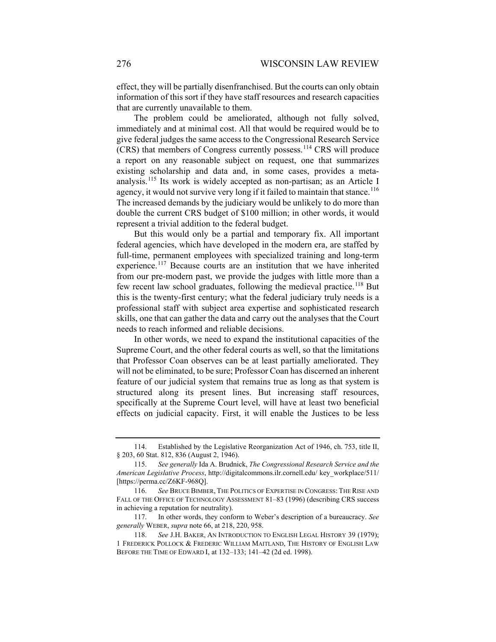effect, they will be partially disenfranchised. But the courts can only obtain information of this sort if they have staff resources and research capacities that are currently unavailable to them.

The problem could be ameliorated, although not fully solved, immediately and at minimal cost. All that would be required would be to give federal judges the same access to the Congressional Research Service (CRS) that members of Congress currently possess.[114](#page-19-0) CRS will produce a report on any reasonable subject on request, one that summarizes existing scholarship and data and, in some cases, provides a metaanalysis.[115](#page-19-1) Its work is widely accepted as non-partisan; as an Article I agency, it would not survive very long if it failed to maintain that stance.<sup>[116](#page-19-2)</sup> The increased demands by the judiciary would be unlikely to do more than double the current CRS budget of \$100 million; in other words, it would represent a trivial addition to the federal budget.

But this would only be a partial and temporary fix. All important federal agencies, which have developed in the modern era, are staffed by full-time, permanent employees with specialized training and long-term experience.<sup>[117](#page-19-3)</sup> Because courts are an institution that we have inherited from our pre-modern past, we provide the judges with little more than a few recent law school graduates, following the medieval practice.<sup>[118](#page-19-4)</sup> But this is the twenty-first century; what the federal judiciary truly needs is a professional staff with subject area expertise and sophisticated research skills, one that can gather the data and carry out the analyses that the Court needs to reach informed and reliable decisions.

In other words, we need to expand the institutional capacities of the Supreme Court, and the other federal courts as well, so that the limitations that Professor Coan observes can be at least partially ameliorated. They will not be eliminated, to be sure; Professor Coan has discerned an inherent feature of our judicial system that remains true as long as that system is structured along its present lines. But increasing staff resources, specifically at the Supreme Court level, will have at least two beneficial effects on judicial capacity. First, it will enable the Justices to be less

<span id="page-19-0"></span><sup>114.</sup> Established by the Legislative Reorganization Act of 1946, ch. 753, title II, § 203, 60 Stat. 812, 836 (August 2, 1946).

<span id="page-19-1"></span><sup>115.</sup> *See generally* Ida A. Brudnick, *The Congressional Research Service and the American Legislative Process*, http://digitalcommons.ilr.cornell.edu/ key\_workplace/511/ [https://perma.cc/Z6KF-968Q].

<span id="page-19-2"></span><sup>116.</sup> *See* BRUCE BIMBER, THE POLITICS OF EXPERTISE IN CONGRESS: THE RISE AND FALL OF THE OFFICE OF TECHNOLOGY ASSESSMENT 81-83 (1996) (describing CRS success in achieving a reputation for neutrality).

<span id="page-19-3"></span><sup>117.</sup> In other words, they conform to Weber's description of a bureaucracy. *See generally* WEBER, *supra* not[e 66,](#page-11-5) at 218, 220, 958.

<span id="page-19-4"></span><sup>118.</sup> *See* J.H. BAKER, AN INTRODUCTION TO ENGLISH LEGAL HISTORY 39 (1979); 1 FREDERICK POLLOCK & FREDERIC WILLIAM MAITLAND, THE HISTORY OF ENGLISH LAW BEFORE THE TIME OF EDWARD I, at 132–133; 141–42 (2d ed. 1998).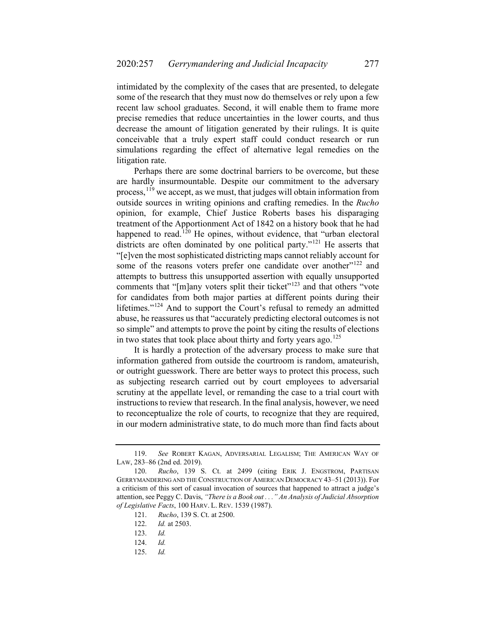intimidated by the complexity of the cases that are presented, to delegate some of the research that they must now do themselves or rely upon a few recent law school graduates. Second, it will enable them to frame more precise remedies that reduce uncertainties in the lower courts, and thus decrease the amount of litigation generated by their rulings. It is quite conceivable that a truly expert staff could conduct research or run simulations regarding the effect of alternative legal remedies on the litigation rate.

Perhaps there are some doctrinal barriers to be overcome, but these are hardly insurmountable. Despite our commitment to the adversary process,  $^{119}$  $^{119}$  $^{119}$  we accept, as we must, that judges will obtain information from outside sources in writing opinions and crafting remedies. In the *Rucho* opinion, for example, Chief Justice Roberts bases his disparaging treatment of the Apportionment Act of 1842 on a history book that he had happened to read.<sup>[120](#page-20-1)</sup> He opines, without evidence, that "urban electoral districts are often dominated by one political party."<sup>[121](#page-20-2)</sup> He asserts that "[e]ven the most sophisticated districting maps cannot reliably account for some of the reasons voters prefer one candidate over another"<sup>[122](#page-20-3)</sup> and attempts to buttress this unsupported assertion with equally unsupported comments that "[m]any voters split their ticket"<sup>[123](#page-20-4)</sup> and that others "vote for candidates from both major parties at different points during their lifetimes."[124](#page-20-5) And to support the Court's refusal to remedy an admitted abuse, he reassures us that "accurately predicting electoral outcomes is not so simple" and attempts to prove the point by citing the results of elections in two states that took place about thirty and forty years ago.<sup>[125](#page-20-6)</sup>

It is hardly a protection of the adversary process to make sure that information gathered from outside the courtroom is random, amateurish, or outright guesswork. There are better ways to protect this process, such as subjecting research carried out by court employees to adversarial scrutiny at the appellate level, or remanding the case to a trial court with instructions to review that research. In the final analysis, however, we need to reconceptualize the role of courts, to recognize that they are required, in our modern administrative state, to do much more than find facts about

<span id="page-20-0"></span><sup>119.</sup> *See* ROBERT KAGAN, ADVERSARIAL LEGALISM; THE AMERICAN WAY OF LAW, 283–86 (2nd ed. 2019).

<span id="page-20-4"></span><span id="page-20-3"></span><span id="page-20-2"></span><span id="page-20-1"></span><sup>120.</sup> *Rucho*, 139 S. Ct. at 2499 (citing ERIK J. ENGSTROM, PARTISAN GERRYMANDERING AND THE CONSTRUCTION OF AMERICAN DEMOCRACY 43–51 (2013)). For a criticism of this sort of casual invocation of sources that happened to attract a judge's attention, see Peggy C. Davis, *"There is a Book out . . ." An Analysis of Judicial Absorption of Legislative Facts*, 100 HARV. L. REV. 1539 (1987).

<sup>121.</sup> *Rucho*, 139 S. Ct. at 2500.

<sup>122.</sup> *Id.* at 2503.

<sup>123.</sup> *Id.*

<span id="page-20-5"></span><sup>124.</sup> *Id.*

<span id="page-20-6"></span><sup>125.</sup> *Id.*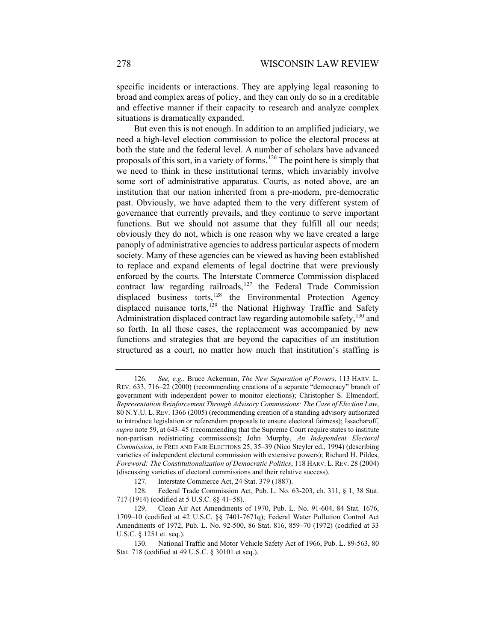specific incidents or interactions. They are applying legal reasoning to broad and complex areas of policy, and they can only do so in a creditable and effective manner if their capacity to research and analyze complex situations is dramatically expanded.

But even this is not enough. In addition to an amplified judiciary, we need a high-level election commission to police the electoral process at both the state and the federal level. A number of scholars have advanced proposals of this sort, in a variety of forms.<sup>[126](#page-21-0)</sup> The point here is simply that we need to think in these institutional terms, which invariably involve some sort of administrative apparatus. Courts, as noted above, are an institution that our nation inherited from a pre-modern, pre-democratic past. Obviously, we have adapted them to the very different system of governance that currently prevails, and they continue to serve important functions. But we should not assume that they fulfill all our needs; obviously they do not, which is one reason why we have created a large panoply of administrative agencies to address particular aspects of modern society. Many of these agencies can be viewed as having been established to replace and expand elements of legal doctrine that were previously enforced by the courts. The Interstate Commerce Commission displaced contract law regarding railroads,<sup>[127](#page-21-1)</sup> the Federal Trade Commission displaced business torts,<sup>[128](#page-21-2)</sup> the Environmental Protection Agency displaced nuisance torts,<sup>[129](#page-21-3)</sup> the National Highway Traffic and Safety Administration displaced contract law regarding automobile safety,  $130$  and so forth. In all these cases, the replacement was accompanied by new functions and strategies that are beyond the capacities of an institution structured as a court, no matter how much that institution's staffing is

<span id="page-21-0"></span><sup>126.</sup> *See, e.g.*, Bruce Ackerman, *The New Separation of Powers*, 113 HARV. L. REV. 633, 716–22 (2000) (recommending creations of a separate "democracy" branch of government with independent power to monitor elections); Christopher S. Elmendorf, *Representation Reinforcement Through Advisory Commissions: The Case of Election Law*, 80 N.Y.U. L. REV. 1366 (2005) (recommending creation of a standing advisory authorized to introduce legislation or referendum proposals to ensure electoral fairness); Issacharoff, *supra* not[e 59,](#page-9-7) at 643–45 (recommending that the Supreme Court require states to institute non-partisan redistricting commissions); John Murphy, *An Independent Electoral Commission*, *in* FREE AND FAIR ELECTIONS 25, 35–39 (Nico Steyler ed., 1994) (describing varieties of independent electoral commission with extensive powers); Richard H. Pildes, *Foreword: The Constitutionalization of Democratic Politics*, 118 HARV. L. REV. 28 (2004) (discussing varieties of electoral commissions and their relative success).

<sup>127.</sup> Interstate Commerce Act, 24 Stat. 379 (1887).

<span id="page-21-2"></span><span id="page-21-1"></span><sup>128.</sup> Federal Trade Commission Act, Pub. L. No. 63-203, ch. 311, § 1, 38 Stat. 717 (1914) (codified at 5 U.S.C. §§ 41–58).

<span id="page-21-3"></span><sup>129.</sup> Clean Air Act Amendments of 1970, Pub. L. No. 91-604, 84 Stat. 1676, 1709–10 (codified at 42 U.S.C. §§ 7401-7671q); Federal Water Pollution Control Act Amendments of 1972, Pub. L. No. 92-500, 86 Stat. 816, 859–70 (1972) (codified at 33 U.S.C. § 1251 et. seq.).

<span id="page-21-4"></span><sup>130.</sup> National Traffic and Motor Vehicle Safety Act of 1966, Pub. L. 89-563, 80 Stat. 718 (codified at 49 U.S.C. § 30101 et seq.).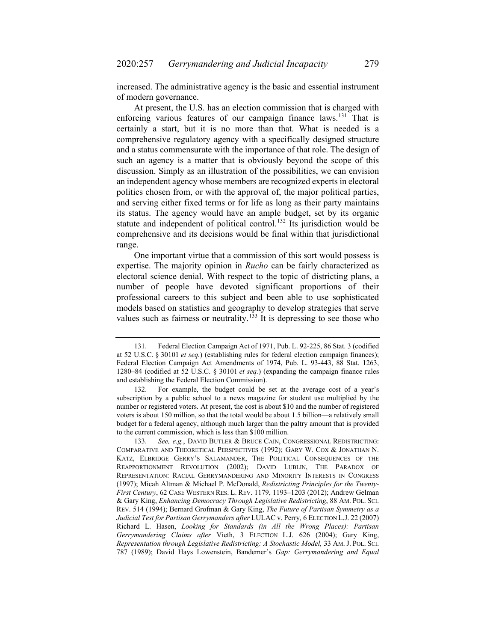increased. The administrative agency is the basic and essential instrument of modern governance.

At present, the U.S. has an election commission that is charged with enforcing various features of our campaign finance laws.<sup>[131](#page-22-0)</sup> That is certainly a start, but it is no more than that. What is needed is a comprehensive regulatory agency with a specifically designed structure and a status commensurate with the importance of that role. The design of such an agency is a matter that is obviously beyond the scope of this discussion. Simply as an illustration of the possibilities, we can envision an independent agency whose members are recognized experts in electoral politics chosen from, or with the approval of, the major political parties, and serving either fixed terms or for life as long as their party maintains its status. The agency would have an ample budget, set by its organic statute and independent of political control.<sup>[132](#page-22-1)</sup> Its jurisdiction would be comprehensive and its decisions would be final within that jurisdictional range.

One important virtue that a commission of this sort would possess is expertise. The majority opinion in *Rucho* can be fairly characterized as electoral science denial. With respect to the topic of districting plans, a number of people have devoted significant proportions of their professional careers to this subject and been able to use sophisticated models based on statistics and geography to develop strategies that serve values such as fairness or neutrality.<sup>[133](#page-22-2)</sup> It is depressing to see those who

<span id="page-22-0"></span><sup>131.</sup> Federal Election Campaign Act of 1971, Pub. L. 92-225, 86 Stat. 3 (codified at [52 U.S.C.](https://en.wikipedia.org/wiki/Title_52_of_the_United_States_Code) § [30101](https://www.law.cornell.edu/uscode/text/52/30101) *et seq.*) (establishing rules for federal election campaign finances); Federal Election Campaign Act Amendments of 1974, Pub. L. 93-443, 88 Stat. 1263, 1280–84 (codified at 52 U.S.C. § 30101 *et seq.*) (expanding the campaign finance rules and establishing the Federal Election Commission).

<span id="page-22-1"></span><sup>132.</sup> For example, the budget could be set at the average cost of a year's subscription by a public school to a news magazine for student use multiplied by the number or registered voters. At present, the cost is about \$10 and the number of registered voters is about 150 million, so that the total would be about 1.5 billion—a relatively small budget for a federal agency, although much larger than the paltry amount that is provided to the current commission, which is less than \$100 million.

<span id="page-22-2"></span><sup>133.</sup> *See, e.g.*, DAVID BUTLER & BRUCE CAIN, CONGRESSIONAL REDISTRICTING: COMPARATIVE AND THEORETICAL PERSPECTIVES (1992); GARY W. COX & JONATHAN N. KATZ, ELBRIDGE GERRY'S SALAMANDER, THE POLITICAL CONSEQUENCES OF THE REAPPORTIONMENT REVOLUTION (2002); DAVID LUBLIN, THE PARADOX OF REPRESENTATION: RACIAL GERRYMANDERING AND MINORITY INTERESTS IN CONGRESS (1997); Micah Altman & Michael P. McDonald, *Redistricting Principles for the Twenty-First Century*, 62 CASE WESTERN RES. L. REV. 1179, 1193–1203 (2012); Andrew Gelman & Gary King, *Enhancing Democracy Through Legislative Redistricting*, 88 AM. POL. SCI. REV. 514 (1994); Bernard Grofman & Gary King, *The Future of Partisan Symmetry as a Judicial Test for Partisan Gerrymanders after* LULAC v. Perry*,* 6 ELECTION L.J. 22 (2007) Richard L. Hasen, *Looking for Standards (in All the Wrong Places): Partisan Gerrymandering Claims after* Vieth, 3 ELECTION L.J. 626 (2004); Gary King, *Representation through Legislative Redistricting: A Stochastic Model,* 33 AM. J. POL. SCI. 787 (1989); David Hays Lowenstein, Bandemer's *Gap: Gerrymandering and Equal*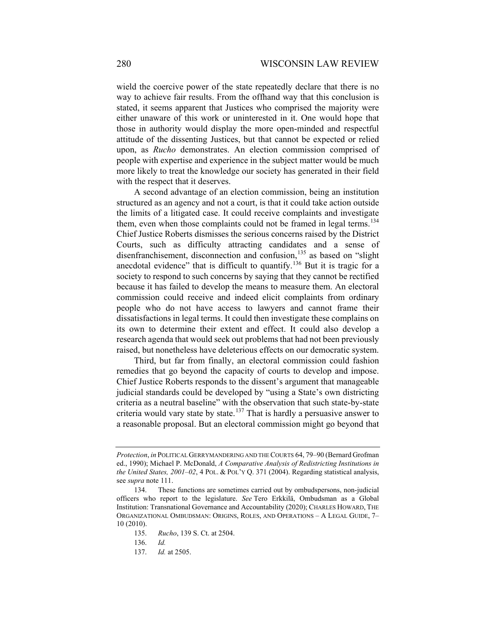wield the coercive power of the state repeatedly declare that there is no way to achieve fair results. From the offhand way that this conclusion is stated, it seems apparent that Justices who comprised the majority were either unaware of this work or uninterested in it. One would hope that those in authority would display the more open-minded and respectful attitude of the dissenting Justices, but that cannot be expected or relied upon, as *Rucho* demonstrates. An election commission comprised of people with expertise and experience in the subject matter would be much more likely to treat the knowledge our society has generated in their field with the respect that it deserves.

A second advantage of an election commission, being an institution structured as an agency and not a court, is that it could take action outside the limits of a litigated case. It could receive complaints and investigate them, even when those complaints could not be framed in legal terms.<sup>[134](#page-23-0)</sup> Chief Justice Roberts dismisses the serious concerns raised by the District Courts, such as difficulty attracting candidates and a sense of disenfranchisement, disconnection and confusion,<sup>[135](#page-23-1)</sup> as based on "slight anecdotal evidence" that is difficult to quantify.<sup>[136](#page-23-2)</sup> But it is tragic for a society to respond to such concerns by saying that they cannot be rectified because it has failed to develop the means to measure them. An electoral commission could receive and indeed elicit complaints from ordinary people who do not have access to lawyers and cannot frame their dissatisfactions in legal terms. It could then investigate these complains on its own to determine their extent and effect. It could also develop a research agenda that would seek out problems that had not been previously raised, but nonetheless have deleterious effects on our democratic system.

Third, but far from finally, an electoral commission could fashion remedies that go beyond the capacity of courts to develop and impose. Chief Justice Roberts responds to the dissent's argument that manageable judicial standards could be developed by "using a State's own districting criteria as a neutral baseline" with the observation that such state-by-state criteria would vary state by state.<sup>[137](#page-23-3)</sup> That is hardly a persuasive answer to a reasonable proposal. But an electoral commission might go beyond that

*Protection*, *in* POLITICAL GERRYMANDERING AND THE COURTS 64, 79–90 (Bernard Grofman ed., 1990); Michael P. McDonald, *A Comparative Analysis of Redistricting Institutions in the United States, 2001–02*, 4 POL. & POL'Y Q. 371 (2004). Regarding statistical analysis, see *supra* note [111.](#page-18-4)

<span id="page-23-3"></span><span id="page-23-2"></span><span id="page-23-1"></span><span id="page-23-0"></span><sup>134.</sup> These functions are sometimes carried out by ombudspersons, non-judicial officers who report to the legislature. *See* [Tero Erkkilä, Ombudsman as a Global](https://www.amazon.com/Tero-Erkkil%25C3%25A4/e/B009WSKYAW?ref=sr_ntt_srch_lnk_1&qid=1580552704&sr=1-1)  Institution: [Transnational Governance and Accountability \(2020\);](https://www.amazon.com/Tero-Erkkil%25C3%25A4/e/B009WSKYAW?ref=sr_ntt_srch_lnk_1&qid=1580552704&sr=1-1) CHARLES HOWARD, THE ORGANIZATIONAL OMBUDSMAN: ORIGINS, ROLES, AND OPERATIONS – A LEGAL GUIDE, 7– 10 (2010).

<sup>135.</sup> *Rucho*, 139 S. Ct. at 2504.

<sup>136.</sup> *Id.*

<sup>137.</sup> *Id.* at 2505.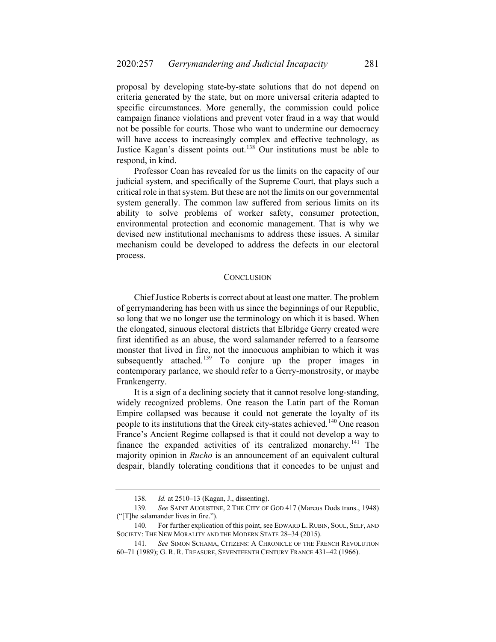proposal by developing state-by-state solutions that do not depend on criteria generated by the state, but on more universal criteria adapted to specific circumstances. More generally, the commission could police campaign finance violations and prevent voter fraud in a way that would not be possible for courts. Those who want to undermine our democracy will have access to increasingly complex and effective technology, as Justice Kagan's dissent points out.[138](#page-24-0) Our institutions must be able to respond, in kind.

Professor Coan has revealed for us the limits on the capacity of our judicial system, and specifically of the Supreme Court, that plays such a critical role in that system. But these are not the limits on our governmental system generally. The common law suffered from serious limits on its ability to solve problems of worker safety, consumer protection, environmental protection and economic management. That is why we devised new institutional mechanisms to address these issues. A similar mechanism could be developed to address the defects in our electoral process.

### **CONCLUSION**

Chief Justice Roberts is correct about at least one matter. The problem of gerrymandering has been with us since the beginnings of our Republic, so long that we no longer use the terminology on which it is based. When the elongated, sinuous electoral districts that Elbridge Gerry created were first identified as an abuse, the word salamander referred to a fearsome monster that lived in fire, not the innocuous amphibian to which it was subsequently attached.<sup>[139](#page-24-1)</sup> To conjure up the proper images in contemporary parlance, we should refer to a Gerry-monstrosity, or maybe Frankengerry.

It is a sign of a declining society that it cannot resolve long-standing, widely recognized problems. One reason the Latin part of the Roman Empire collapsed was because it could not generate the loyalty of its people to its institutions that the Greek city-states achieved.<sup>[140](#page-24-2)</sup> One reason France's Ancient Regime collapsed is that it could not develop a way to finance the expanded activities of its centralized monarchy.<sup>[141](#page-24-3)</sup> The majority opinion in *Rucho* is an announcement of an equivalent cultural despair, blandly tolerating conditions that it concedes to be unjust and

<sup>138.</sup> *Id.* at 2510–13 (Kagan, J., dissenting).

<span id="page-24-2"></span><span id="page-24-1"></span><span id="page-24-0"></span><sup>139.</sup> *See* SAINT AUGUSTINE, 2 THE CITY OF GOD 417 (Marcus Dods trans., 1948) ("[T]he salamander lives in fire.").

<sup>140.</sup> For further explication of this point, see EDWARD L. RUBIN, SOUL, SELF, AND SOCIETY: THE NEW MORALITY AND THE MODERN STATE 28–34 (2015).

<span id="page-24-3"></span><sup>141.</sup> *See* SIMON SCHAMA, CITIZENS: A CHRONICLE OF THE FRENCH REVOLUTION 60–71 (1989); G. R. R. TREASURE, SEVENTEENTH CENTURY FRANCE 431–42 (1966).